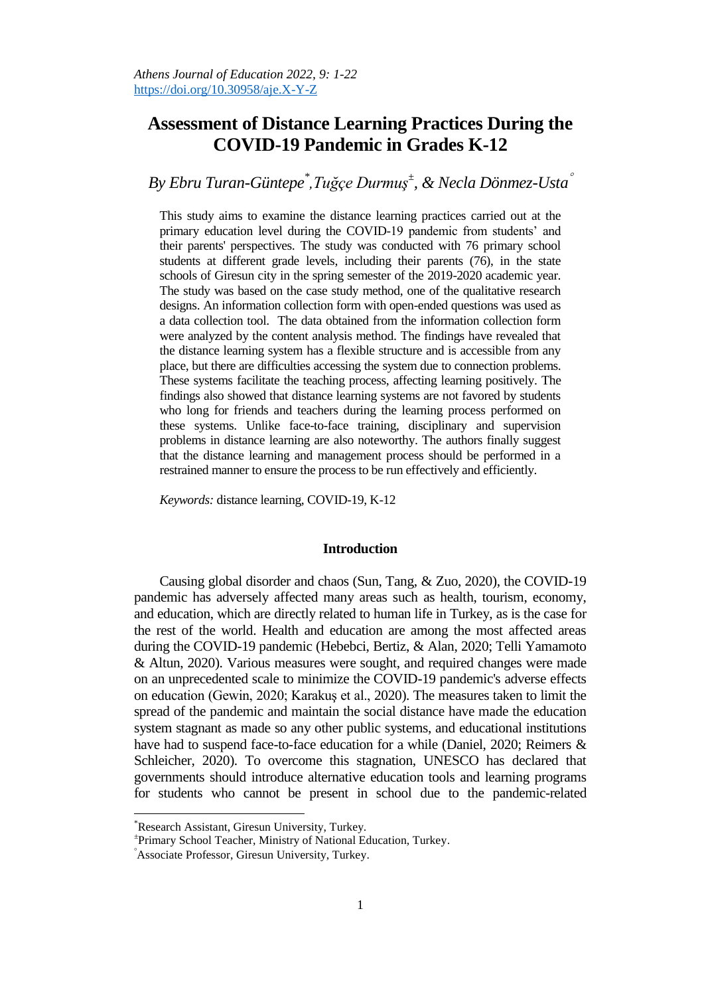# **Assessment of Distance Learning Practices During the COVID-19 Pandemic in Grades K-12**

*By Ebru Turan-Güntepe\* ,Tuğçe Durmuş<sup>±</sup> , & Necla Dönmez-Usta*

This study aims to examine the distance learning practices carried out at the primary education level during the COVID-19 pandemic from students' and their parents' perspectives. The study was conducted with 76 primary school students at different grade levels, including their parents (76), in the state schools of Giresun city in the spring semester of the 2019-2020 academic year. The study was based on the case study method, one of the qualitative research designs. An information collection form with open-ended questions was used as a data collection tool. The data obtained from the information collection form were analyzed by the content analysis method. The findings have revealed that the distance learning system has a flexible structure and is accessible from any place, but there are difficulties accessing the system due to connection problems. These systems facilitate the teaching process, affecting learning positively. The findings also showed that distance learning systems are not favored by students who long for friends and teachers during the learning process performed on these systems. Unlike face-to-face training, disciplinary and supervision problems in distance learning are also noteworthy. The authors finally suggest that the distance learning and management process should be performed in a restrained manner to ensure the process to be run effectively and efficiently.

*Keywords:* distance learning, COVID-19, K-12

### **Introduction**

Causing global disorder and chaos (Sun, Tang, & Zuo, 2020), the COVID-19 pandemic has adversely affected many areas such as health, tourism, economy, and education, which are directly related to human life in Turkey, as is the case for the rest of the world. Health and education are among the most affected areas during the COVID-19 pandemic (Hebebci, Bertiz, & Alan, 2020; Telli Yamamoto & Altun, 2020). Various measures were sought, and required changes were made on an unprecedented scale to minimize the COVID-19 pandemic's adverse effects on education (Gewin, 2020; Karakuş et al., 2020). The measures taken to limit the spread of the pandemic and maintain the social distance have made the education system stagnant as made so any other public systems, and educational institutions have had to suspend face-to-face education for a while (Daniel, 2020; Reimers & Schleicher, 2020). To overcome this stagnation, UNESCO has declared that governments should introduce alternative education tools and learning programs for students who cannot be present in school due to the pandemic-related

 $\overline{\phantom{a}}$ 

<sup>\*</sup>Research Assistant, Giresun University, Turkey.

<sup>±</sup> [Primary School](https://tureng.com/tr/turkce-ingilizce/primary%20school%20teacher) Teacher, Ministry of National Education, Turkey.

Associate Professor, Giresun University, Turkey.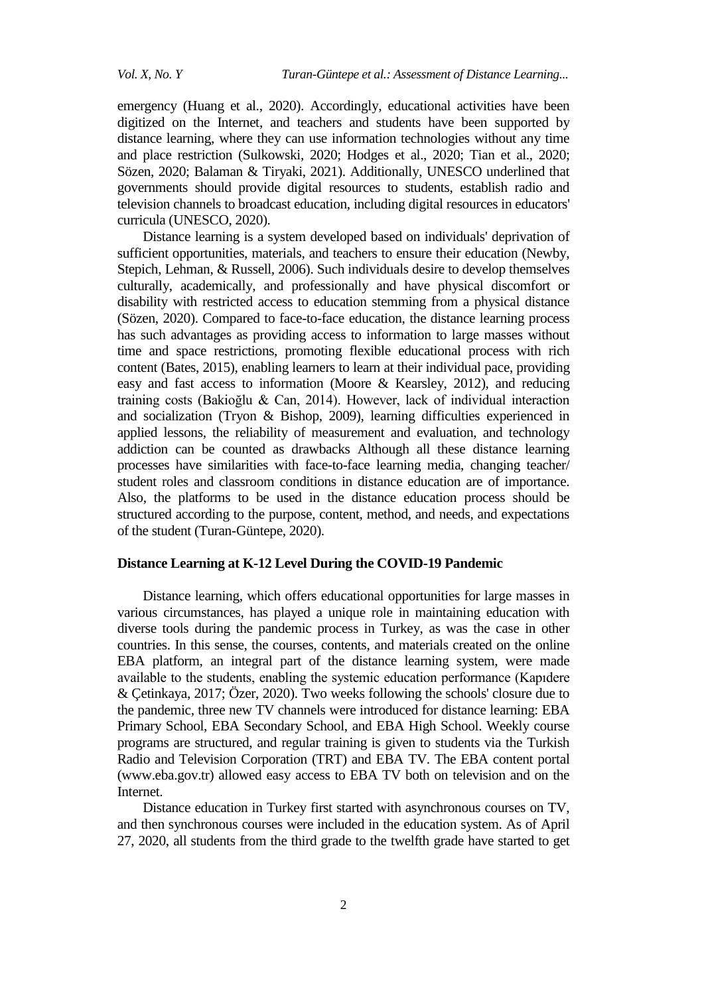emergency (Huang et al., [2020\)](https://www.tandfonline.com/doi/full/10.1080/1475939X.2020.1856178). Accordingly, educational activities have been digitized on the Internet, and teachers and students have been supported by distance learning, where they can use information technologies without any time and place restriction (Sulkowski, [2020;](https://onlinelibrary.wiley.com/doi/full/10.1111/hequ.12314?casa_token=9lAZcTxZKzEAAAAA%3AU2mElN7g9dREYKHUG15B9lYbs9tGNHdthsElqrIWoAlj0IeAWlnvht9zlHepFbwG8z7CUeb_o1TYUv0p#hequ12314-bib-0057) Hodges et al., [2020;](https://onlinelibrary.wiley.com/doi/full/10.1111/hequ.12314?casa_token=9lAZcTxZKzEAAAAA%3AU2mElN7g9dREYKHUG15B9lYbs9tGNHdthsElqrIWoAlj0IeAWlnvht9zlHepFbwG8z7CUeb_o1TYUv0p#hequ12314-bib-0021) Tian et al., [2020;](https://onlinelibrary.wiley.com/doi/full/10.1111/hequ.12314?casa_token=9lAZcTxZKzEAAAAA%3AU2mElN7g9dREYKHUG15B9lYbs9tGNHdthsElqrIWoAlj0IeAWlnvht9zlHepFbwG8z7CUeb_o1TYUv0p#hequ12314-bib-0058) Sözen, 2020; Balaman & Tiryaki, 2021). Additionally, UNESCO underlined that governments should provide digital resources to students, establish radio and television channels to broadcast education, including digital resources in educators' curricula (UNESCO, 2020).

Distance learning is a system developed based on individuals' deprivation of sufficient opportunities, materials, and teachers to ensure their education (Newby, Stepich, Lehman, & Russell, 2006). Such individuals desire to develop themselves culturally, academically, and professionally and have physical discomfort or disability with restricted access to education stemming from a physical distance (Sözen, 2020). Compared to face-to-face education, the distance learning process has such advantages as providing access to information to large masses without time and space restrictions, promoting flexible educational process with rich content (Bates, 2015), enabling learners to learn at their individual pace, providing easy and fast access to information (Moore & Kearsley, 2012), and reducing training costs (Bakioğlu & Can, 2014). However, lack of individual interaction and socialization (Tryon & Bishop, 2009), learning difficulties experienced in applied lessons, the reliability of measurement and evaluation, and technology addiction can be counted as drawbacks Although all these distance learning processes have similarities with face-to-face learning media, changing teacher/ student roles and classroom conditions in distance education are of importance. Also, the platforms to be used in the distance education process should be structured according to the purpose, content, method, and needs, and expectations of the student (Turan-Güntepe, 2020).

#### **Distance Learning at K-12 Level During the COVID-19 Pandemic**

Distance learning, which offers educational opportunities for large masses in various circumstances, has played a unique role in maintaining education with diverse tools during the pandemic process in Turkey, as was the case in other countries. In this sense, the courses, contents, and materials created on the online EBA platform, an integral part of the distance learning system, were made available to the students, enabling the systemic education performance (Kapıdere & Çetinkaya, 2017; Özer, 2020). Two weeks following the schools' closure due to the pandemic, three new TV channels were introduced for distance learning: EBA Primary School, EBA Secondary School, and EBA High School. Weekly course programs are structured, and regular training is given to students via the Turkish Radio and Television Corporation (TRT) and EBA TV. The EBA content portal [\(www.eba.gov.tr\)](http://www.eba.gov.tr/) allowed easy access to EBA TV both on television and on the Internet.

Distance education in Turkey first started with asynchronous courses on TV, and then synchronous courses were included in the education system. As of April 27, 2020, all students from the third grade to the twelfth grade have started to get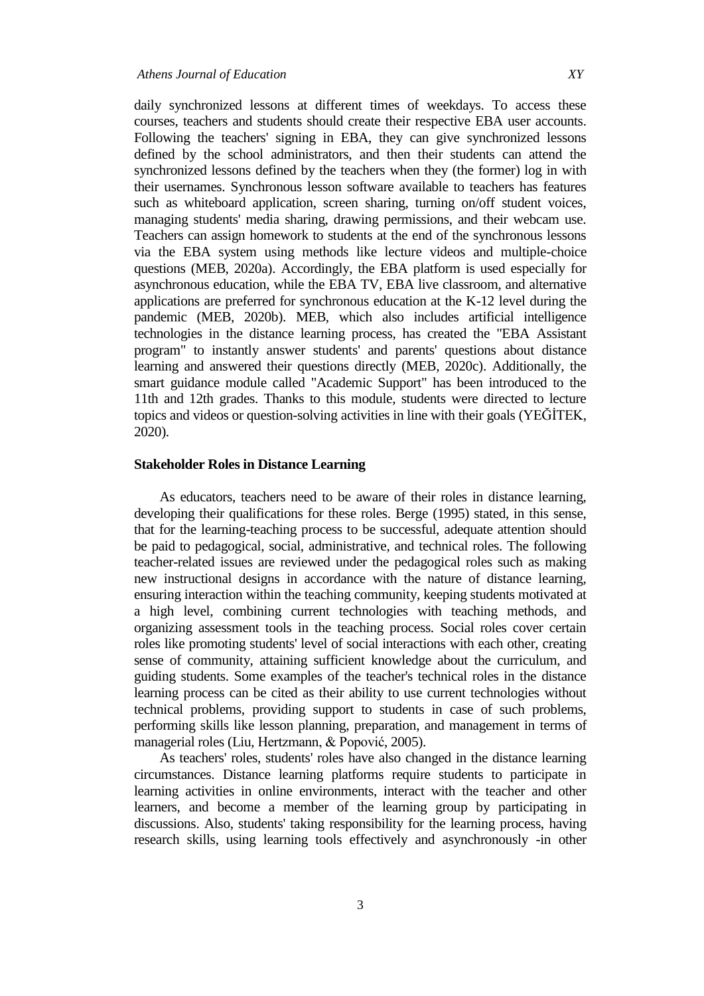daily synchronized lessons at different times of weekdays. To access these courses, teachers and students should create their respective EBA user accounts. Following the teachers' signing in EBA, they can give synchronized lessons defined by the school administrators, and then their students can attend the synchronized lessons defined by the teachers when they (the former) log in with their usernames. Synchronous lesson software available to teachers has features such as whiteboard application, screen sharing, turning on/off student voices, managing students' media sharing, drawing permissions, and their webcam use. Teachers can assign homework to students at the end of the synchronous lessons via the EBA system using methods like lecture videos and multiple-choice questions (MEB, 2020a). Accordingly, the EBA platform is used especially for asynchronous education, while the EBA TV, EBA live classroom, and alternative applications are preferred for synchronous education at the K-12 level during the pandemic (MEB, 2020b). MEB, which also includes artificial intelligence technologies in the distance learning process, has created the "EBA Assistant program" to instantly answer students' and parents' questions about distance learning and answered their questions directly (MEB, 2020c). Additionally, the smart guidance module called "Academic Support" has been introduced to the 11th and 12th grades. Thanks to this module, students were directed to lecture topics and videos or question-solving activities in line with their goals (YEĞİTEK, 2020).

#### **Stakeholder Roles in Distance Learning**

As educators, teachers need to be aware of their roles in distance learning, developing their qualifications for these roles. Berge (1995) stated, in this sense, that for the learning-teaching process to be successful, adequate attention should be paid to pedagogical, social, administrative, and technical roles. The following teacher-related issues are reviewed under the pedagogical roles such as making new instructional designs in accordance with the nature of distance learning, ensuring interaction within the teaching community, keeping students motivated at a high level, combining current technologies with teaching methods, and organizing assessment tools in the teaching process. Social roles cover certain roles like promoting students' level of social interactions with each other, creating sense of community, attaining sufficient knowledge about the curriculum, and guiding students. Some examples of the teacher's technical roles in the distance learning process can be cited as their ability to use current technologies without technical problems, providing support to students in case of such problems, performing skills like lesson planning, preparation, and management in terms of managerial roles (Liu, Hertzmann, & Popović, 2005).

As teachers' roles, students' roles have also changed in the distance learning circumstances. Distance learning platforms require students to participate in learning activities in online environments, interact with the teacher and other learners, and become a member of the learning group by participating in discussions. Also, students' taking responsibility for the learning process, having research skills, using learning tools effectively and asynchronously -in other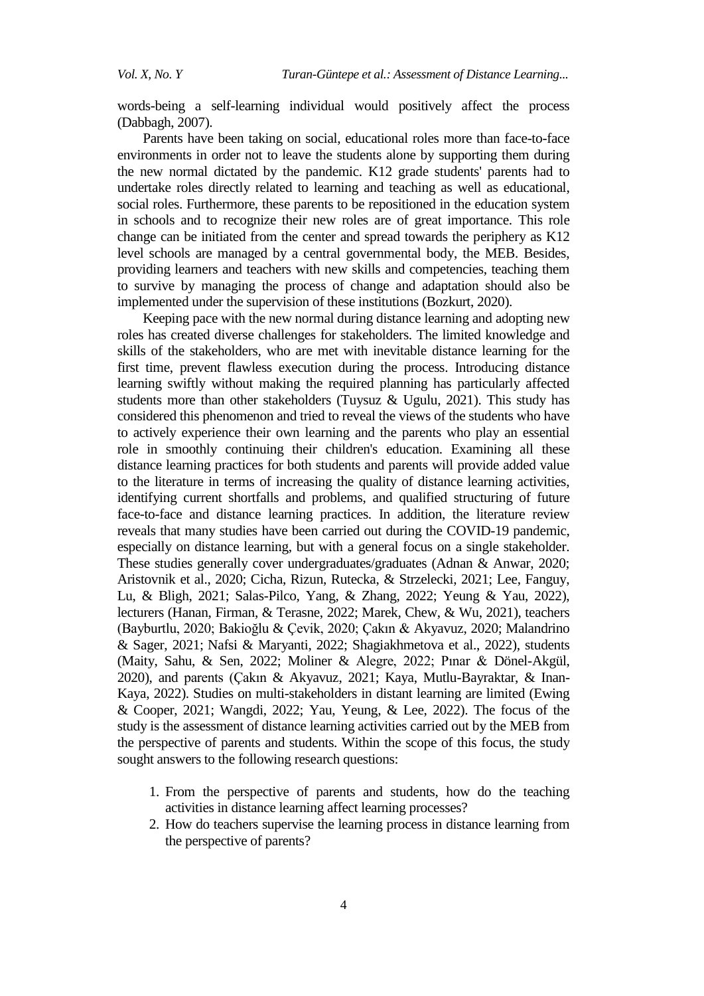words-being a self-learning individual would positively affect the process (Dabbagh, 2007).

Parents have been taking on social, educational roles more than face-to-face environments in order not to leave the students alone by supporting them during the new normal dictated by the pandemic. K12 grade students' parents had to undertake roles directly related to learning and teaching as well as educational, social roles. Furthermore, these parents to be repositioned in the education system in schools and to recognize their new roles are of great importance. This role change can be initiated from the center and spread towards the periphery as K12 level schools are managed by a central governmental body, the MEB. Besides, providing learners and teachers with new skills and competencies, teaching them to survive by managing the process of change and adaptation should also be implemented under the supervision of these institutions (Bozkurt, 2020).

Keeping pace with the new normal during distance learning and adopting new roles has created diverse challenges for stakeholders. The limited knowledge and skills of the stakeholders, who are met with inevitable distance learning for the first time, prevent flawless execution during the process. Introducing distance learning swiftly without making the required planning has particularly affected students more than other stakeholders (Tuysuz & Ugulu, 2021). This study has considered this phenomenon and tried to reveal the views of the students who have to actively experience their own learning and the parents who play an essential role in smoothly continuing their children's education. Examining all these distance learning practices for both students and parents will provide added value to the literature in terms of increasing the quality of distance learning activities, identifying current shortfalls and problems, and qualified structuring of future face-to-face and distance learning practices. In addition, the literature review reveals that many studies have been carried out during the COVID-19 pandemic, especially on distance learning, but with a general focus on a single stakeholder. These studies generally cover undergraduates/graduates (Adnan & Anwar, 2020; Aristovnik et al., 2020; Cicha, Rizun, Rutecka, & Strzelecki, 2021; Lee, Fanguy, Lu, & Bligh, 2021; Salas-Pilco, Yang, & Zhang, 2022; Yeung & Yau, 2022), lecturers (Hanan, Firman, & Terasne, 2022; Marek, Chew, & Wu, 2021), teachers (Bayburtlu, 2020; Bakioğlu & Çevik, 2020; Çakın & Akyavuz, 2020; Malandrino & Sager, 2021; Nafsi & Maryanti, 2022; Shagiakhmetova et al., 2022), students (Maity, Sahu, & Sen, 2022; Moliner & Alegre, 2022; Pınar & Dönel-Akgül, 2020), and parents (Çakın & Akyavuz, 2021; Kaya, Mutlu-Bayraktar, & Inan-Kaya, 2022). Studies on multi-stakeholders in distant learning are limited (Ewing & Cooper, 2021; Wangdi, 2022; Yau, Yeung, & Lee, 2022). The focus of the study is the assessment of distance learning activities carried out by the MEB from the perspective of parents and students. Within the scope of this focus, the study sought answers to the following research questions:

- 1. From the perspective of parents and students, how do the teaching activities in distance learning affect learning processes?
- 2. How do teachers supervise the learning process in distance learning from the perspective of parents?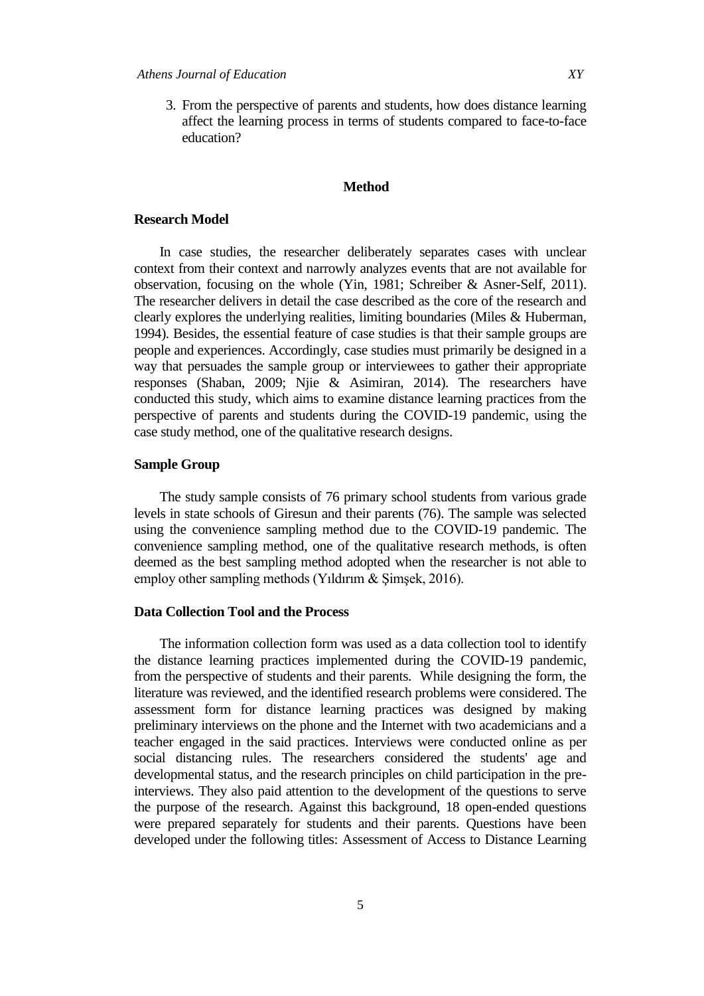3. From the perspective of parents and students, how does distance learning affect the learning process in terms of students compared to face-to-face education?

#### **Method**

#### **Research Model**

In case studies, the researcher deliberately separates cases with unclear context from their context and narrowly analyzes events that are not available for observation, focusing on the whole (Yin, 1981; Schreiber & Asner-Self, 2011). The researcher delivers in detail the case described as the core of the research and clearly explores the underlying realities, limiting boundaries (Miles & Huberman, 1994). Besides, the essential feature of case studies is that their sample groups are people and experiences. Accordingly, case studies must primarily be designed in a way that persuades the sample group or interviewees to gather their appropriate responses (Shaban, 2009; Njie & Asimiran, 2014). The researchers have conducted this study, which aims to examine distance learning practices from the perspective of parents and students during the COVID-19 pandemic, using the case study method, one of the qualitative research designs.

#### **Sample Group**

The study sample consists of 76 primary school students from various grade levels in state schools of Giresun and their parents (76). The sample was selected using the convenience sampling method due to the COVID-19 pandemic. The convenience sampling method, one of the qualitative research methods, is often deemed as the best sampling method adopted when the researcher is not able to employ other sampling methods (Yıldırım  $&$  Simsek, 2016).

#### **Data Collection Tool and the Process**

The information collection form was used as a data collection tool to identify the distance learning practices implemented during the COVID-19 pandemic, from the perspective of students and their parents. While designing the form, the literature was reviewed, and the identified research problems were considered. The assessment form for distance learning practices was designed by making preliminary interviews on the phone and the Internet with two academicians and a teacher engaged in the said practices. Interviews were conducted online as per social distancing rules. The researchers considered the students' age and developmental status, and the research principles on child participation in the preinterviews. They also paid attention to the development of the questions to serve the purpose of the research. Against this background, 18 open-ended questions were prepared separately for students and their parents. Questions have been developed under the following titles: Assessment of Access to Distance Learning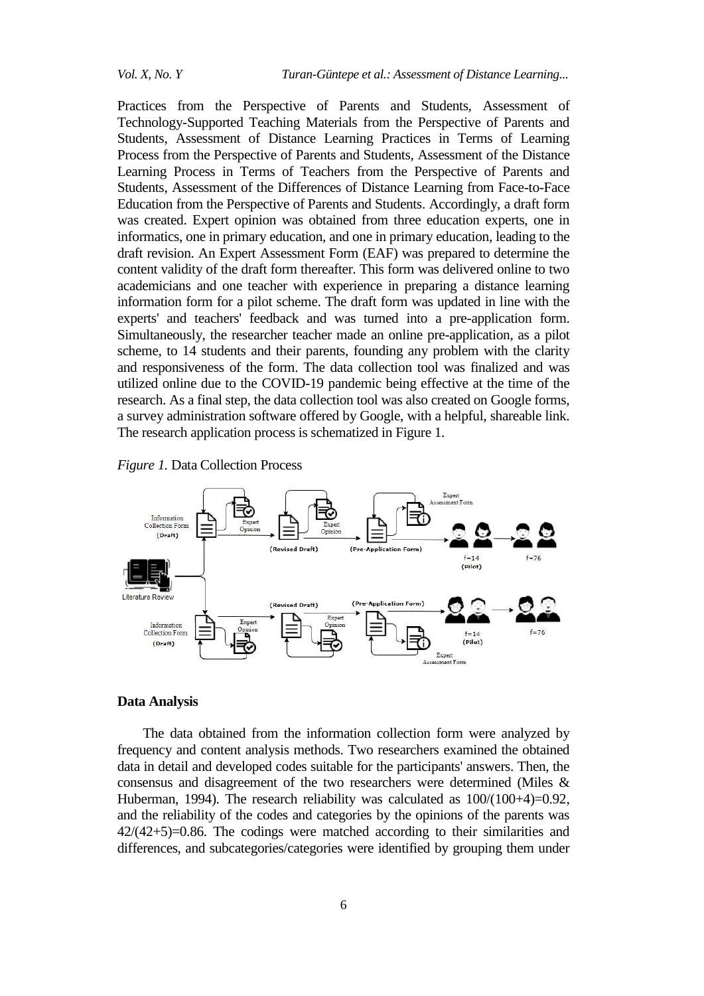Practices from the Perspective of Parents and Students, Assessment of Technology-Supported Teaching Materials from the Perspective of Parents and Students, Assessment of Distance Learning Practices in Terms of Learning Process from the Perspective of Parents and Students, Assessment of the Distance Learning Process in Terms of Teachers from the Perspective of Parents and Students, Assessment of the Differences of Distance Learning from Face-to-Face Education from the Perspective of Parents and Students. Accordingly, a draft form was created. Expert opinion was obtained from three education experts, one in informatics, one in primary education, and one in primary education, leading to the draft revision. An Expert Assessment Form (EAF) was prepared to determine the content validity of the draft form thereafter. This form was delivered online to two academicians and one teacher with experience in preparing a distance learning information form for a pilot scheme. The draft form was updated in line with the experts' and teachers' feedback and was turned into a pre-application form. Simultaneously, the researcher teacher made an online pre-application, as a pilot scheme, to 14 students and their parents, founding any problem with the clarity and responsiveness of the form. The data collection tool was finalized and was utilized online due to the COVID-19 pandemic being effective at the time of the research. As a final step, the data collection tool was also created on Google forms, a survey administration software offered by Google, with a helpful, shareable link. The research application process is schematized in Figure 1.



*Figure 1.* Data Collection Process

#### **Data Analysis**

The data obtained from the information collection form were analyzed by frequency and content analysis methods. Two researchers examined the obtained data in detail and developed codes suitable for the participants' answers. Then, the consensus and disagreement of the two researchers were determined (Miles & Huberman, 1994). The research reliability was calculated as  $100/(100+4)=0.92$ , and the reliability of the codes and categories by the opinions of the parents was  $42/(42+5)=0.86$ . The codings were matched according to their similarities and differences, and subcategories/categories were identified by grouping them under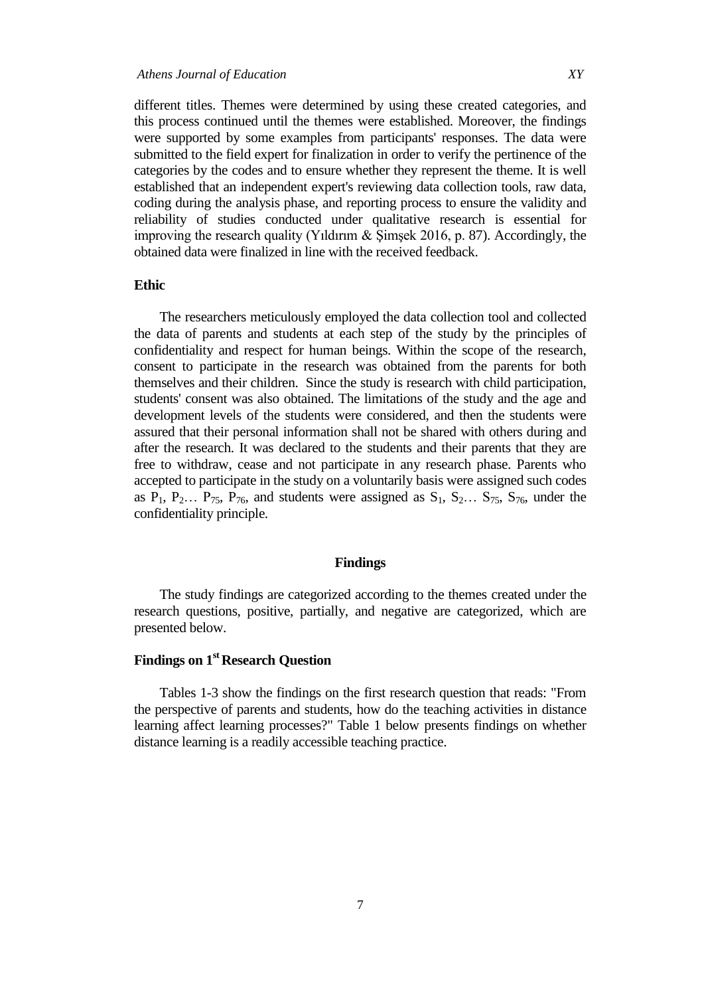different titles. Themes were determined by using these created categories, and this process continued until the themes were established. Moreover, the findings were supported by some examples from participants' responses. The data were submitted to the field expert for finalization in order to verify the pertinence of the categories by the codes and to ensure whether they represent the theme. It is well established that an independent expert's reviewing data collection tools, raw data, coding during the analysis phase, and reporting process to ensure the validity and reliability of studies conducted under qualitative research is essential for improving the research quality (Yıldırım  $&$  Şimşek 2016, p. 87). Accordingly, the obtained data were finalized in line with the received feedback.

### **Ethic**

The researchers meticulously employed the data collection tool and collected the data of parents and students at each step of the study by the principles of confidentiality and respect for human beings. Within the scope of the research, consent to participate in the research was obtained from the parents for both themselves and their children. Since the study is research with child participation, students' consent was also obtained. The limitations of the study and the age and development levels of the students were considered, and then the students were assured that their personal information shall not be shared with others during and after the research. It was declared to the students and their parents that they are free to withdraw, cease and not participate in any research phase. Parents who accepted to participate in the study on a voluntarily basis were assigned such codes as  $P_1$ ,  $P_2$ ...  $P_{75}$ ,  $P_{76}$ , and students were assigned as  $S_1$ ,  $S_2$ ...  $S_{75}$ ,  $S_{76}$ , under the confidentiality principle.

#### **Findings**

The study findings are categorized according to the themes created under the research questions, positive, partially, and negative are categorized, which are presented below.

## **Findings on 1st Research Question**

Tables 1-3 show the findings on the first research question that reads: "From the perspective of parents and students, how do the teaching activities in distance learning affect learning processes?" Table 1 below presents findings on whether distance learning is a readily accessible teaching practice.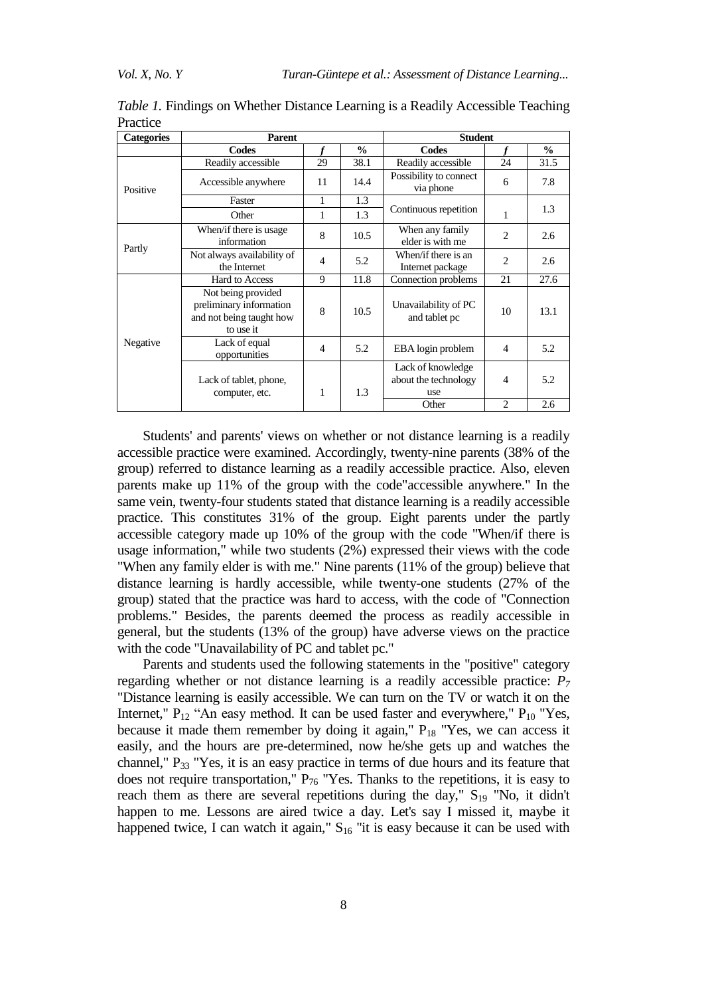| <b>Categories</b> | <b>Parent</b>                                                                          |                |               | <b>Student</b>                                   |                |               |
|-------------------|----------------------------------------------------------------------------------------|----------------|---------------|--------------------------------------------------|----------------|---------------|
|                   | Codes                                                                                  |                | $\frac{0}{0}$ | Codes                                            |                | $\frac{0}{0}$ |
| Positive          | Readily accessible                                                                     | 29             | 38.1          | Readily accessible                               | 24             | 31.5          |
|                   | Accessible anywhere                                                                    | 11             | 14.4          | Possibility to connect<br>via phone              | 6              | 7.8           |
|                   | Faster                                                                                 | 1              | 1.3           |                                                  |                |               |
|                   | Other                                                                                  | 1              | 1.3           | Continuous repetition                            | 1              | 1.3           |
| Partly            | When/if there is usage<br>information                                                  | 8              | 10.5          | When any family<br>elder is with me              | $\overline{2}$ | 2.6           |
|                   | Not always availability of<br>the Internet                                             | 4              | 5.2           | When/if there is an<br>Internet package          | $\overline{c}$ | 2.6           |
| Negative          | Hard to Access                                                                         | 9              | 11.8          | Connection problems                              | 21             | 27.6          |
|                   | Not being provided<br>preliminary information<br>and not being taught how<br>to use it | 8              | 10.5          | Unavailability of PC<br>and tablet pc            | 10             | 13.1          |
|                   | Lack of equal<br>opportunities                                                         | $\overline{4}$ | 5.2           | EBA login problem                                | $\overline{4}$ | 5.2           |
|                   | Lack of tablet, phone,<br>computer, etc.                                               | 1              | 1.3           | Lack of knowledge<br>about the technology<br>use | $\overline{4}$ | 5.2           |
|                   |                                                                                        |                |               | Other                                            | $\overline{c}$ | 2.6           |

*Table 1.* Findings on Whether Distance Learning is a Readily Accessible Teaching Practice

Students' and parents' views on whether or not distance learning is a readily accessible practice were examined. Accordingly, twenty-nine parents (38% of the group) referred to distance learning as a readily accessible practice. Also, eleven parents make up 11% of the group with the code"accessible anywhere." In the same vein, twenty-four students stated that distance learning is a readily accessible practice. This constitutes 31% of the group. Eight parents under the partly accessible category made up 10% of the group with the code "When/if there is usage information," while two students (2%) expressed their views with the code "When any family elder is with me." Nine parents (11% of the group) believe that distance learning is hardly accessible, while twenty-one students (27% of the group) stated that the practice was hard to access, with the code of "Connection problems." Besides, the parents deemed the process as readily accessible in general, but the students (13% of the group) have adverse views on the practice with the code "Unavailability of PC and tablet pc."

Parents and students used the following statements in the "positive" category regarding whether or not distance learning is a readily accessible practice: *P<sup>7</sup>* "Distance learning is easily accessible. We can turn on the TV or watch it on the Internet,"  $P_{12}$  "An easy method. It can be used faster and everywhere,"  $P_{10}$  "Yes, because it made them remember by doing it again,"  $P_{18}$  "Yes, we can access it easily, and the hours are pre-determined, now he/she gets up and watches the channel,"  $P_{33}$  "Yes, it is an easy practice in terms of due hours and its feature that does not require transportation,"  $P_{76}$  "Yes. Thanks to the repetitions, it is easy to reach them as there are several repetitions during the day,"  $S_{19}$  "No, it didn't happen to me. Lessons are aired twice a day. Let's say I missed it, maybe it happened twice, I can watch it again,"  $S_{16}$  "it is easy because it can be used with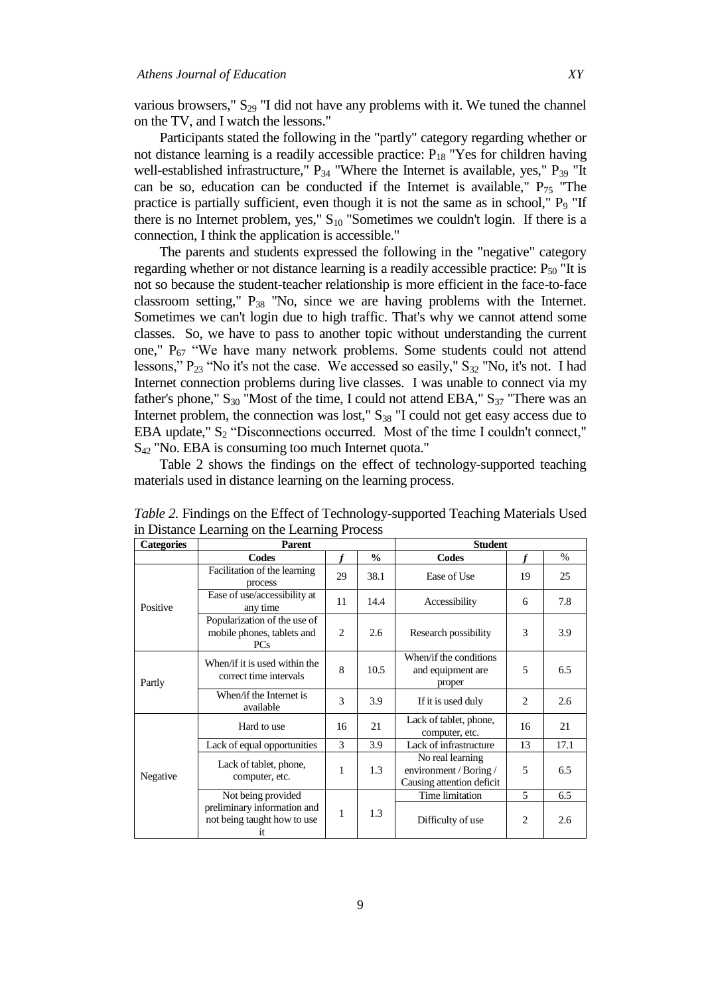various browsers,"  $S_{29}$  "I did not have any problems with it. We tuned the channel on the TV, and I watch the lessons."

Participants stated the following in the "partly" category regarding whether or not distance learning is a readily accessible practice:  $P_{18}$  "Yes for children having well-established infrastructure,"  $P_{34}$  "Where the Internet is available, yes,"  $P_{39}$  "It can be so, education can be conducted if the Internet is available,"  $P_{75}$  "The practice is partially sufficient, even though it is not the same as in school,"  $P<sub>9</sub>$  "If there is no Internet problem, yes,"  $S_{10}$  "Sometimes we couldn't login. If there is a connection, I think the application is accessible."

The parents and students expressed the following in the "negative" category regarding whether or not distance learning is a readily accessible practice:  $P_{50}$  "It is not so because the student-teacher relationship is more efficient in the face-to-face classroom setting,"  $P_{38}$  "No, since we are having problems with the Internet. Sometimes we can't login due to high traffic. That's why we cannot attend some classes. So, we have to pass to another topic without understanding the current one,"  $P_{67}$  "We have many network problems. Some students could not attend lessons,"  $P_{23}$  "No it's not the case. We accessed so easily,"  $S_{32}$  "No, it's not. I had Internet connection problems during live classes. I was unable to connect via my father's phone,"  $S_{30}$  "Most of the time, I could not attend EBA,"  $S_{37}$  "There was an Internet problem, the connection was lost,"  $S_{38}$  "I could not get easy access due to EBA update,"  $S_2$  "Disconnections occurred. Most of the time I couldn't connect," S<sup>42</sup> "No. EBA is consuming too much Internet quota."

Table 2 shows the findings on the effect of technology-supported teaching materials used in distance learning on the learning process.

| <b>Categories</b> | <b>Parent</b>                                                            |    |               | <b>Student</b>                                                          |                               |      |
|-------------------|--------------------------------------------------------------------------|----|---------------|-------------------------------------------------------------------------|-------------------------------|------|
|                   | Codes                                                                    |    | $\frac{0}{0}$ | Codes                                                                   |                               | $\%$ |
| Positive          | Facilitation of the learning<br>process                                  | 29 | 38.1          | Ease of Use                                                             | 19                            | 25   |
|                   | Ease of use/accessibility at<br>any time                                 | 11 | 14.4          | Accessibility                                                           | 6                             | 7.8  |
|                   | Popularization of the use of<br>mobile phones, tablets and<br><b>PCs</b> | 2  | 2.6           | Research possibility                                                    | 3                             | 3.9  |
| Partly            | When/if it is used within the<br>correct time intervals                  | 8  | 10.5          | When/if the conditions<br>and equipment are<br>proper                   | 5                             | 6.5  |
|                   | When/if the Internet is<br>available                                     | 3  | 3.9           | If it is used duly                                                      | $\mathfrak{D}_{\mathfrak{p}}$ | 2.6  |
|                   | Hard to use                                                              | 16 | 21            | Lack of tablet, phone,<br>computer, etc.                                | 16                            | 21   |
|                   | Lack of equal opportunities                                              | 3  | 3.9           | Lack of infrastructure                                                  | 13                            | 17.1 |
| Negative          | Lack of tablet, phone,<br>computer, etc.                                 | 1  | 1.3           | No real learning<br>environment / Boring /<br>Causing attention deficit | 5                             | 6.5  |
|                   | Not being provided                                                       |    | 1.3           | Time limitation                                                         | 5                             | 6.5  |
|                   | preliminary information and<br>not being taught how to use<br>it.        | 1  |               | Difficulty of use                                                       | 2                             | 2.6  |

*Table 2.* Findings on the Effect of Technology-supported Teaching Materials Used in Distance Learning on the Learning Process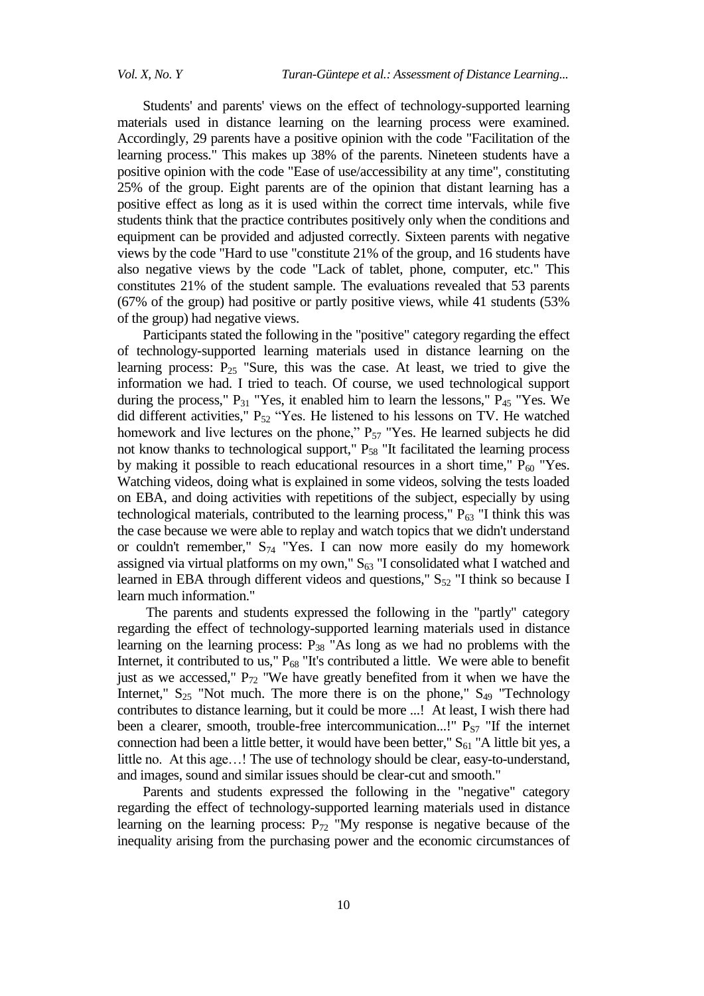Students' and parents' views on the effect of technology-supported learning materials used in distance learning on the learning process were examined. Accordingly, 29 parents have a positive opinion with the code "Facilitation of the learning process." This makes up 38% of the parents. Nineteen students have a positive opinion with the code "Ease of use/accessibility at any time", constituting 25% of the group. Eight parents are of the opinion that distant learning has a positive effect as long as it is used within the correct time intervals, while five students think that the practice contributes positively only when the conditions and equipment can be provided and adjusted correctly. Sixteen parents with negative views by the code "Hard to use "constitute 21% of the group, and 16 students have also negative views by the code "Lack of tablet, phone, computer, etc." This constitutes 21% of the student sample. The evaluations revealed that 53 parents (67% of the group) had positive or partly positive views, while 41 students (53% of the group) had negative views.

Participants stated the following in the "positive" category regarding the effect of technology-supported learning materials used in distance learning on the learning process:  $P_{25}$  "Sure, this was the case. At least, we tried to give the information we had. I tried to teach. Of course, we used technological support during the process,"  $P_{31}$  "Yes, it enabled him to learn the lessons,"  $P_{45}$  "Yes. We did different activities,"  $P_{52}$  "Yes. He listened to his lessons on TV. He watched homework and live lectures on the phone,"  $P_{57}$  "Yes. He learned subjects he did not know thanks to technological support," P<sub>58</sub> "It facilitated the learning process by making it possible to reach educational resources in a short time,"  $P_{60}$  "Yes. Watching videos, doing what is explained in some videos, solving the tests loaded on EBA, and doing activities with repetitions of the subject, especially by using technological materials, contributed to the learning process,"  $P_{63}$  "I think this was the case because we were able to replay and watch topics that we didn't understand or couldn't remember,"  $S_{74}$  "Yes. I can now more easily do my homework assigned via virtual platforms on my own,"  $S_{63}$  "I consolidated what I watched and learned in EBA through different videos and questions,"  $S_{52}$  "I think so because I learn much information."

The parents and students expressed the following in the "partly" category regarding the effect of technology-supported learning materials used in distance learning on the learning process:  $P_{38}$  "As long as we had no problems with the Internet, it contributed to us,"  $P_{68}$  "It's contributed a little. We were able to benefit just as we accessed,"  $P_{72}$  "We have greatly benefited from it when we have the Internet,"  $S_{25}$  "Not much. The more there is on the phone,"  $S_{49}$  "Technology contributes to distance learning, but it could be more ...! At least, I wish there had been a clearer, smooth, trouble-free intercommunication...!"  $P_{ST}$  "If the internet connection had been a little better, it would have been better,"  $S_{61}$  "A little bit yes, a little no. At this age…! The use of technology should be clear, easy-to-understand, and images, sound and similar issues should be clear-cut and smooth."

Parents and students expressed the following in the "negative" category regarding the effect of technology-supported learning materials used in distance learning on the learning process:  $P_{72}$  "My response is negative because of the inequality arising from the purchasing power and the economic circumstances of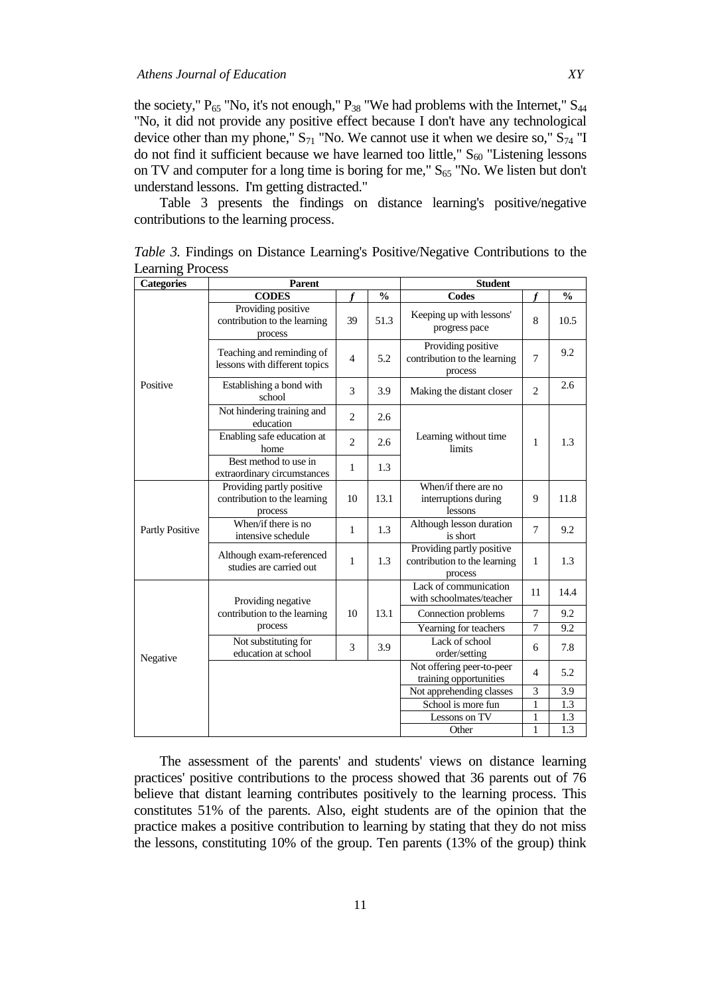the society,"  $P_{65}$  "No, it's not enough,"  $P_{38}$  "We had problems with the Internet,"  $S_{44}$ "No, it did not provide any positive effect because I don't have any technological device other than my phone,"  $S_{71}$  "No. We cannot use it when we desire so,"  $S_{74}$  "I do not find it sufficient because we have learned too little,"  $S_{60}$  "Listening lessons on TV and computer for a long time is boring for me,"  $S_{65}$  "No. We listen but don't understand lessons. I'm getting distracted."

Table 3 presents the findings on distance learning's positive/negative contributions to the learning process.

| <b>Categories</b> | Parent                                                               |                |               | <b>Student</b>                                                       |                |               |
|-------------------|----------------------------------------------------------------------|----------------|---------------|----------------------------------------------------------------------|----------------|---------------|
|                   | <b>CODES</b>                                                         |                | $\frac{0}{0}$ | <b>Codes</b>                                                         |                | $\frac{0}{0}$ |
|                   | Providing positive<br>contribution to the learning<br>process        | 39             | 51.3          | Keeping up with lessons'<br>progress pace                            | 8              | 10.5          |
|                   | Teaching and reminding of<br>lessons with different topics           | $\overline{4}$ | 5.2           | Providing positive<br>contribution to the learning<br>process        | $\tau$         | 9.2           |
| Positive          | Establishing a bond with<br>school                                   | 3              | 3.9           | Making the distant closer                                            | 2              | 2.6           |
|                   | Not hindering training and<br>education                              | $\overline{c}$ | 2.6           |                                                                      |                |               |
|                   | Enabling safe education at<br>home                                   | $\overline{c}$ | 2.6           | Learning without time<br>limits                                      | 1              | 1.3           |
|                   | Best method to use in<br>extraordinary circumstances                 | 1              | 1.3           |                                                                      |                |               |
|                   | Providing partly positive<br>contribution to the learning<br>process | 10             | 13.1          | When/if there are no<br>interruptions during<br>lessons              | 9              | 11.8          |
| Partly Positive   | When/if there is no<br>intensive schedule                            | 1              | 1.3           | Although lesson duration<br>is short                                 | $\tau$         | 9.2           |
|                   | Although exam-referenced<br>studies are carried out                  | 1              | 1.3           | Providing partly positive<br>contribution to the learning<br>process | 1              | 1.3           |
|                   | Providing negative                                                   | 10             |               | Lack of communication<br>with schoolmates/teacher                    | 11             | 14.4          |
|                   | contribution to the learning<br>process                              |                | 13.1          | Connection problems                                                  | 7              | 9.2           |
|                   |                                                                      |                |               | Yearning for teachers                                                | 7              | 9.2           |
| Negative          | Not substituting for<br>education at school                          | 3              | 3.9           | Lack of school<br>order/setting                                      | 6              | 7.8           |
|                   |                                                                      |                |               | Not offering peer-to-peer<br>training opportunities                  | $\overline{4}$ | 5.2           |
|                   |                                                                      |                |               | Not apprehending classes                                             | 3              | 3.9           |
|                   |                                                                      |                |               | School is more fun                                                   | $\mathbf{1}$   | 1.3           |
|                   |                                                                      |                |               | Lessons on TV                                                        | $\mathbf{1}$   | 1.3           |
|                   |                                                                      |                |               | Other                                                                | $\mathbf{1}$   | 1.3           |

*Table 3.* Findings on Distance Learning's Positive/Negative Contributions to the Learning Process

The assessment of the parents' and students' views on distance learning practices' positive contributions to the process showed that 36 parents out of 76 believe that distant learning contributes positively to the learning process. This constitutes 51% of the parents. Also, eight students are of the opinion that the practice makes a positive contribution to learning by stating that they do not miss the lessons, constituting 10% of the group. Ten parents (13% of the group) think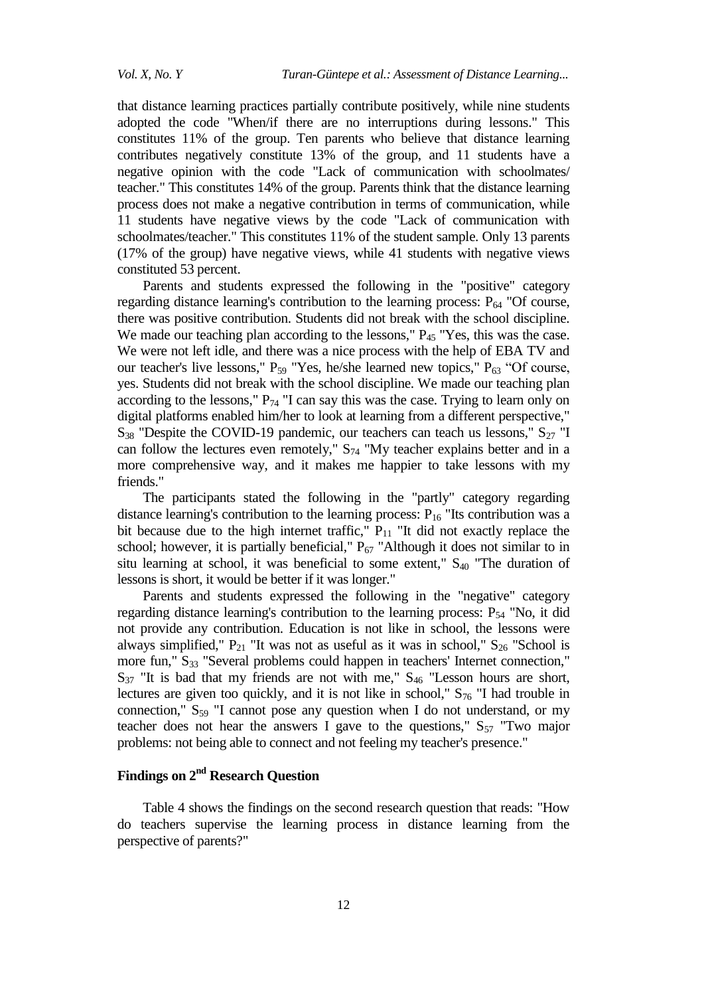that distance learning practices partially contribute positively, while nine students adopted the code "When/if there are no interruptions during lessons." This constitutes 11% of the group. Ten parents who believe that distance learning contributes negatively constitute 13% of the group, and 11 students have a negative opinion with the code "Lack of communication with schoolmates/ teacher." This constitutes 14% of the group. Parents think that the distance learning process does not make a negative contribution in terms of communication, while 11 students have negative views by the code "Lack of communication with schoolmates/teacher." This constitutes 11% of the student sample. Only 13 parents (17% of the group) have negative views, while 41 students with negative views constituted 53 percent.

Parents and students expressed the following in the "positive" category regarding distance learning's contribution to the learning process:  $P_{64}$  "Of course, there was positive contribution. Students did not break with the school discipline. We made our teaching plan according to the lessons,"  $P_{45}$  "Yes, this was the case. We were not left idle, and there was a nice process with the help of EBA TV and our teacher's live lessons,"  $P_{59}$  "Yes, he/she learned new topics,"  $P_{63}$  "Of course, yes. Students did not break with the school discipline. We made our teaching plan according to the lessons,"  $P_{74}$  "I can say this was the case. Trying to learn only on digital platforms enabled him/her to look at learning from a different perspective,"  $S_{38}$  "Despite the COVID-19 pandemic, our teachers can teach us lessons,"  $S_{27}$  "I can follow the lectures even remotely,"  $S_{74}$  "My teacher explains better and in a more comprehensive way, and it makes me happier to take lessons with my friends."

The participants stated the following in the "partly" category regarding distance learning's contribution to the learning process:  $P_{16}$  "Its contribution was a bit because due to the high internet traffic,"  $P_{11}$  "It did not exactly replace the school; however, it is partially beneficial,"  $P_{67}$  "Although it does not similar to in situ learning at school, it was beneficial to some extent,"  $S_{40}$  "The duration of lessons is short, it would be better if it was longer."

Parents and students expressed the following in the "negative" category regarding distance learning's contribution to the learning process:  $P_{54}$  "No, it did not provide any contribution. Education is not like in school, the lessons were always simplified,"  $P_{21}$  "It was not as useful as it was in school,"  $S_{26}$  "School is more fun," S<sub>33</sub> "Several problems could happen in teachers' Internet connection,"  $S_{37}$  "It is bad that my friends are not with me,"  $S_{46}$  "Lesson hours are short, lectures are given too quickly, and it is not like in school,"  $S_{76}$  "I had trouble in connection,"  $S_{59}$  "I cannot pose any question when I do not understand, or my teacher does not hear the answers I gave to the questions,"  $S_{57}$  "Two major problems: not being able to connect and not feeling my teacher's presence."

# **Findings on 2nd Research Question**

Table 4 shows the findings on the second research question that reads: "How do teachers supervise the learning process in distance learning from the perspective of parents?"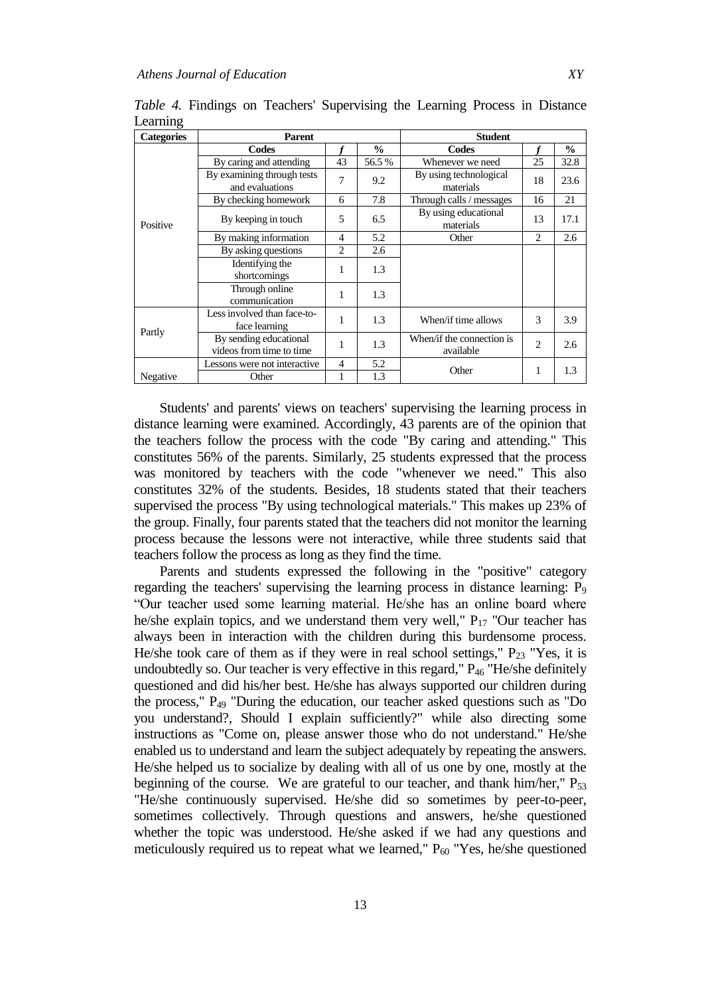| <b>Categories</b> | <b>Parent</b>                                      |                |       | <b>Student</b>                         |                |               |  |
|-------------------|----------------------------------------------------|----------------|-------|----------------------------------------|----------------|---------------|--|
|                   | Codes                                              |                | $\%$  | Codes                                  |                | $\frac{0}{0}$ |  |
|                   | By caring and attending                            | 43             | 56.5% | Whenever we need                       | 25             | 32.8          |  |
|                   | By examining through tests<br>and evaluations      | 7              | 9.2   | By using technological<br>materials    | 18             | 23.6          |  |
|                   | By checking homework                               | 6              | 7.8   | Through calls / messages               | 16             | 21            |  |
| Positive          | By keeping in touch                                | 5              | 6.5   | By using educational<br>materials      | 13             | 17.1          |  |
|                   | By making information                              | $\overline{4}$ | 5.2   | Other                                  | 2              | 2.6           |  |
|                   | By asking questions                                | 2              | 2.6   |                                        |                |               |  |
|                   | Identifying the<br>shortcomings                    | 1              | 1.3   |                                        |                |               |  |
|                   | Through online<br>communication                    | 1              | 1.3   |                                        |                |               |  |
| Partly            | Less involved than face-to-<br>face learning       | 1              | 1.3   | When/if time allows                    | 3              | 3.9           |  |
|                   | By sending educational<br>videos from time to time | 1              | 1.3   | When/if the connection is<br>available | $\overline{2}$ | 2.6           |  |
|                   | Lessons were not interactive                       | 4              | 5.2   | Other                                  | 1              | 1.3           |  |
| Negative          | Other                                              |                | 1.3   |                                        |                |               |  |

*Table 4.* Findings on Teachers' Supervising the Learning Process in Distance Learning

Students' and parents' views on teachers' supervising the learning process in distance learning were examined. Accordingly, 43 parents are of the opinion that the teachers follow the process with the code "By caring and attending." This constitutes 56% of the parents. Similarly, 25 students expressed that the process was monitored by teachers with the code "whenever we need." This also constitutes 32% of the students. Besides, 18 students stated that their teachers supervised the process "By using technological materials." This makes up 23% of the group. Finally, four parents stated that the teachers did not monitor the learning process because the lessons were not interactive, while three students said that teachers follow the process as long as they find the time.

Parents and students expressed the following in the "positive" category regarding the teachers' supervising the learning process in distance learning: P<sub>9</sub> "Our teacher used some learning material. He/she has an online board where he/she explain topics, and we understand them very well,"  $P_{17}$  "Our teacher has always been in interaction with the children during this burdensome process. He/she took care of them as if they were in real school settings,"  $P_{23}$  "Yes, it is undoubtedly so. Our teacher is very effective in this regard,"  $P_{46}$  "He/she definitely questioned and did his/her best. He/she has always supported our children during the process," P<sup>49</sup> "During the education, our teacher asked questions such as "Do you understand?, Should I explain sufficiently?" while also directing some instructions as "Come on, please answer those who do not understand." He/she enabled us to understand and learn the subject adequately by repeating the answers. He/she helped us to socialize by dealing with all of us one by one, mostly at the beginning of the course. We are grateful to our teacher, and thank him/her,"  $P_{53}$ "He/she continuously supervised. He/she did so sometimes by peer-to-peer, sometimes collectively. Through questions and answers, he/she questioned whether the topic was understood. He/she asked if we had any questions and meticulously required us to repeat what we learned,"  $P_{60}$  "Yes, he/she questioned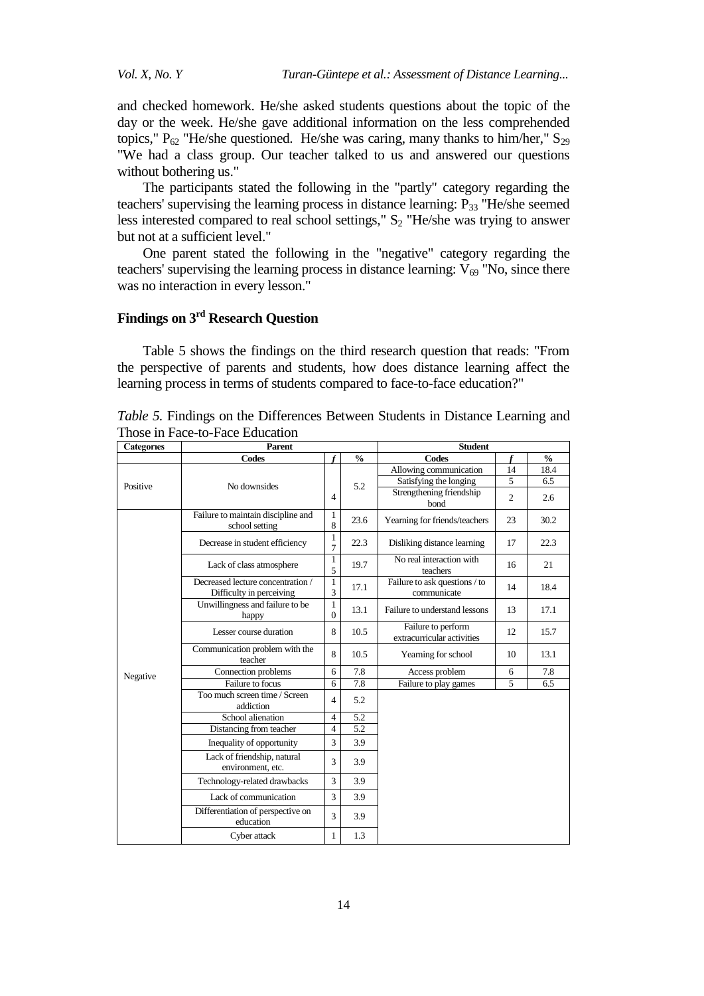and checked homework. He/she asked students questions about the topic of the day or the week. He/she gave additional information on the less comprehended topics,"  $P_{62}$  "He/she questioned. He/she was caring, many thanks to him/her,"  $S_{29}$ "We had a class group. Our teacher talked to us and answered our questions without bothering us."

The participants stated the following in the "partly" category regarding the teachers' supervising the learning process in distance learning:  $P_{33}$  "He/she seemed less interested compared to real school settings,"  $S_2$  "He/she was trying to answer but not at a sufficient level."

One parent stated the following in the "negative" category regarding the teachers' supervising the learning process in distance learning:  $V_{69}$  "No, since there was no interaction in every lesson."

## **Findings on 3rd Research Question**

Table 5 shows the findings on the third research question that reads: "From the perspective of parents and students, how does distance learning affect the learning process in terms of students compared to face-to-face education?"

| <b>Categories</b> | <b>Parent</b>                                                 |                     | <b>Student</b> |                                                  |                |               |
|-------------------|---------------------------------------------------------------|---------------------|----------------|--------------------------------------------------|----------------|---------------|
|                   | Codes                                                         |                     | $\frac{0}{0}$  | <b>Codes</b>                                     |                | $\frac{0}{0}$ |
| Positive          |                                                               | $\overline{4}$      |                | Allowing communication                           | 14             | 18.4          |
|                   | No downsides                                                  |                     | 5.2            | Satisfying the longing                           | 5              | 6.5           |
|                   |                                                               |                     |                | Strengthening friendship<br>bond                 | $\overline{c}$ | 2.6           |
|                   | Failure to maintain discipline and<br>school setting          | 1<br>8              | 23.6           | Yearning for friends/teachers                    | 23             | 30.2          |
|                   | Decrease in student efficiency                                | 1<br>$\overline{7}$ | 22.3           | Disliking distance learning                      | 17             | 22.3          |
|                   | Lack of class atmosphere                                      | 1<br>5              | 19.7           | No real interaction with<br>teachers             | 16             | 21            |
|                   | Decreased lecture concentration /<br>Difficulty in perceiving | $\mathbf{1}$<br>3   | 17.1           | Failure to ask questions / to<br>communicate     | 14             | 18.4          |
|                   | Unwillingness and failure to be<br>happy                      | 1<br>$\mathbf{0}$   | 13.1           | Failure to understand lessons                    | 13             | 17.1          |
|                   | Lesser course duration                                        | 8                   | 10.5           | Failure to perform<br>extracurricular activities | 12             | 15.7          |
|                   | Communication problem with the<br>teacher                     | 8                   | 10.5           | Yearning for school                              | 10             | 13.1          |
| Negative          | Connection problems                                           | 6                   | 7.8            | Access problem                                   | 6              | 7.8           |
|                   | Failure to focus                                              | 6                   | 7.8            | Failure to play games                            | 5              | 6.5           |
|                   | Too much screen time / Screen<br>addiction                    | $\overline{4}$      | 5.2            |                                                  |                |               |
|                   | School alienation                                             | $\overline{4}$      | 5.2            |                                                  |                |               |
|                   | Distancing from teacher                                       | $\overline{4}$      | 5.2            |                                                  |                |               |
|                   | Inequality of opportunity                                     | 3                   | 3.9            |                                                  |                |               |
|                   | Lack of friendship, natural<br>environment, etc.              | 3                   | 3.9            |                                                  |                |               |
|                   | Technology-related drawbacks                                  | 3                   | 3.9            |                                                  |                |               |
|                   | Lack of communication                                         | $\overline{3}$      | 3.9            |                                                  |                |               |
|                   | Differentiation of perspective on<br>education                | 3                   | 3.9            |                                                  |                |               |
|                   | Cyber attack                                                  | 1                   | 1.3            |                                                  |                |               |

*Table 5.* Findings on the Differences Between Students in Distance Learning and Those in Face-to-Face Education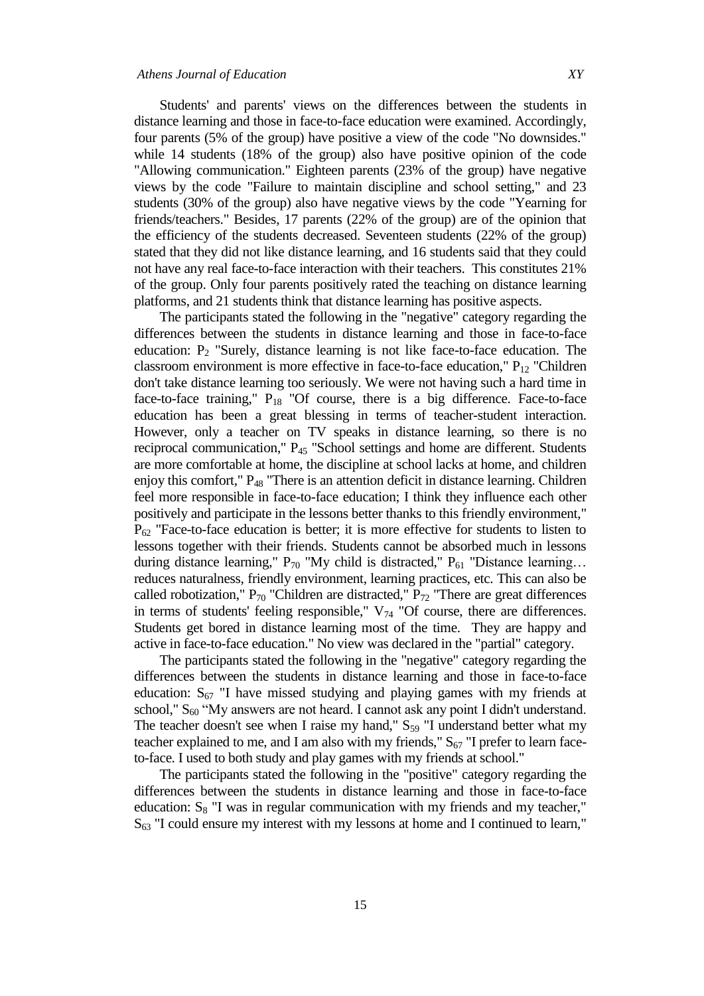Students' and parents' views on the differences between the students in distance learning and those in face-to-face education were examined. Accordingly, four parents (5% of the group) have positive a view of the code "No downsides." while 14 students (18% of the group) also have positive opinion of the code "Allowing communication." Eighteen parents (23% of the group) have negative views by the code "Failure to maintain discipline and school setting," and 23 students (30% of the group) also have negative views by the code "Yearning for friends/teachers." Besides, 17 parents (22% of the group) are of the opinion that the efficiency of the students decreased. Seventeen students (22% of the group) stated that they did not like distance learning, and 16 students said that they could not have any real face-to-face interaction with their teachers. This constitutes 21% of the group. Only four parents positively rated the teaching on distance learning platforms, and 21 students think that distance learning has positive aspects.

The participants stated the following in the "negative" category regarding the differences between the students in distance learning and those in face-to-face education:  $P_2$  "Surely, distance learning is not like face-to-face education. The classroom environment is more effective in face-to-face education,"  $P_{12}$  "Children don't take distance learning too seriously. We were not having such a hard time in face-to-face training,"  $P_{18}$  "Of course, there is a big difference. Face-to-face education has been a great blessing in terms of teacher-student interaction. However, only a teacher on TV speaks in distance learning, so there is no reciprocal communication," P<sub>45</sub> "School settings and home are different. Students are more comfortable at home, the discipline at school lacks at home, and children enjoy this comfort," P<sup>48</sup> "There is an attention deficit in distance learning. Children feel more responsible in face-to-face education; I think they influence each other positively and participate in the lessons better thanks to this friendly environment,"  $P_{62}$  "Face-to-face education is better; it is more effective for students to listen to lessons together with their friends. Students cannot be absorbed much in lessons during distance learning,"  $P_{70}$  "My child is distracted,"  $P_{61}$  "Distance learning... reduces naturalness, friendly environment, learning practices, etc. This can also be called robotization,"  $P_{70}$  "Children are distracted,"  $P_{72}$  "There are great differences in terms of students' feeling responsible,"  $V_{74}$  "Of course, there are differences. Students get bored in distance learning most of the time. They are happy and active in face-to-face education." No view was declared in the "partial" category.

The participants stated the following in the "negative" category regarding the differences between the students in distance learning and those in face-to-face education:  $S_{67}$  "I have missed studying and playing games with my friends at school,"  $S_{60}$  "My answers are not heard. I cannot ask any point I didn't understand. The teacher doesn't see when I raise my hand,"  $S_{59}$  "I understand better what my teacher explained to me, and I am also with my friends,"  $S_{67}$  "I prefer to learn faceto-face. I used to both study and play games with my friends at school."

The participants stated the following in the "positive" category regarding the differences between the students in distance learning and those in face-to-face education:  $S_8$  "I was in regular communication with my friends and my teacher,"  $S<sub>63</sub>$  "I could ensure my interest with my lessons at home and I continued to learn,"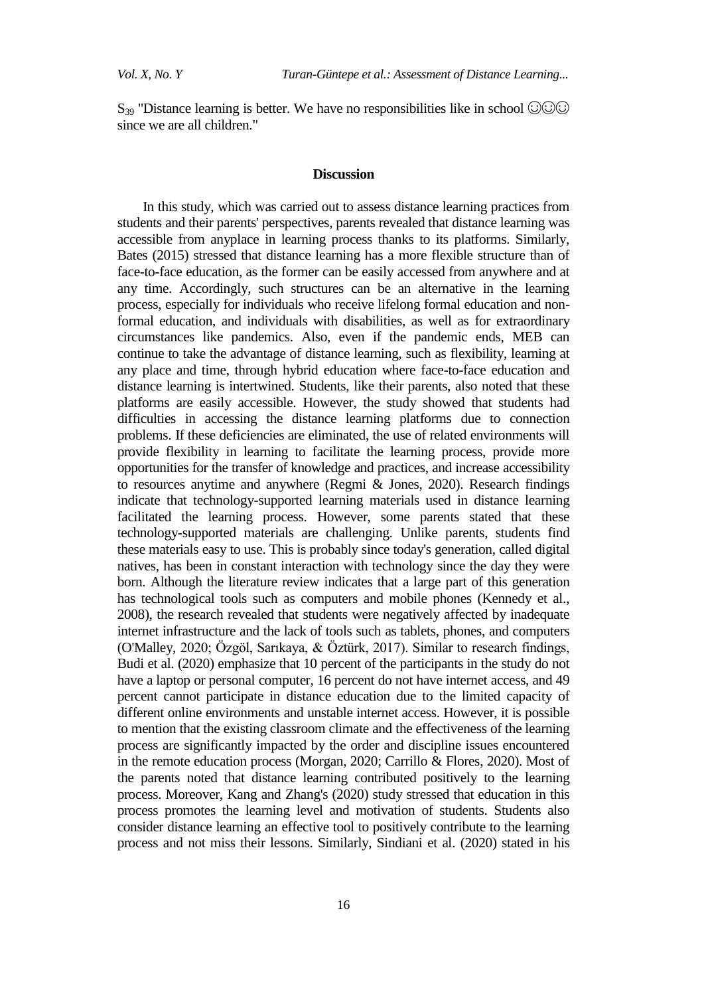S<sub>39</sub> "Distance learning is better. We have no responsibilities like in school  $\odot \odot \odot$ since we are all children."

#### **Discussion**

In this study, which was carried out to assess distance learning practices from students and their parents' perspectives, parents revealed that distance learning was accessible from anyplace in learning process thanks to its platforms. Similarly, Bates (2015) stressed that distance learning has a more flexible structure than of face-to-face education, as the former can be easily accessed from anywhere and at any time. Accordingly, such structures can be an alternative in the learning process, especially for individuals who receive lifelong formal education and nonformal education, and individuals with disabilities, as well as for extraordinary circumstances like pandemics. Also, even if the pandemic ends, MEB can continue to take the advantage of distance learning, such as flexibility, learning at any place and time, through hybrid education where face-to-face education and distance learning is intertwined. Students, like their parents, also noted that these platforms are easily accessible. However, the study showed that students had difficulties in accessing the distance learning platforms due to connection problems. If these deficiencies are eliminated, the use of related environments will provide flexibility in learning to facilitate the learning process, provide more opportunities for the transfer of knowledge and practices, and increase accessibility to resources anytime and anywhere (Regmi & Jones, 2020). Research findings indicate that technology-supported learning materials used in distance learning facilitated the learning process. However, some parents stated that these technology-supported materials are challenging. Unlike parents, students find these materials easy to use. This is probably since today's generation, called digital natives, has been in constant interaction with technology since the day they were born. Although the literature review indicates that a large part of this generation has technological tools such as computers and mobile phones (Kennedy et al., 2008), the research revealed that students were negatively affected by inadequate internet infrastructure and the lack of tools such as tablets, phones, and computers (O'Malley, 2020; Özgöl, Sarıkaya, & Öztürk, 2017). Similar to research findings, Budi et al. (2020) emphasize that 10 percent of the participants in the study do not have a laptop or personal computer, 16 percent do not have internet access, and 49 percent cannot participate in distance education due to the limited capacity of different online environments and unstable internet access. However, it is possible to mention that the existing classroom climate and the effectiveness of the learning process are significantly impacted by the order and discipline issues encountered in the remote education process (Morgan, 2020; Carrillo & Flores, 2020). Most of the parents noted that distance learning contributed positively to the learning process. Moreover, Kang and Zhang's (2020) study stressed that education in this process promotes the learning level and motivation of students. Students also consider distance learning an effective tool to positively contribute to the learning process and not miss their lessons. Similarly, Sindiani et al. (2020) stated in his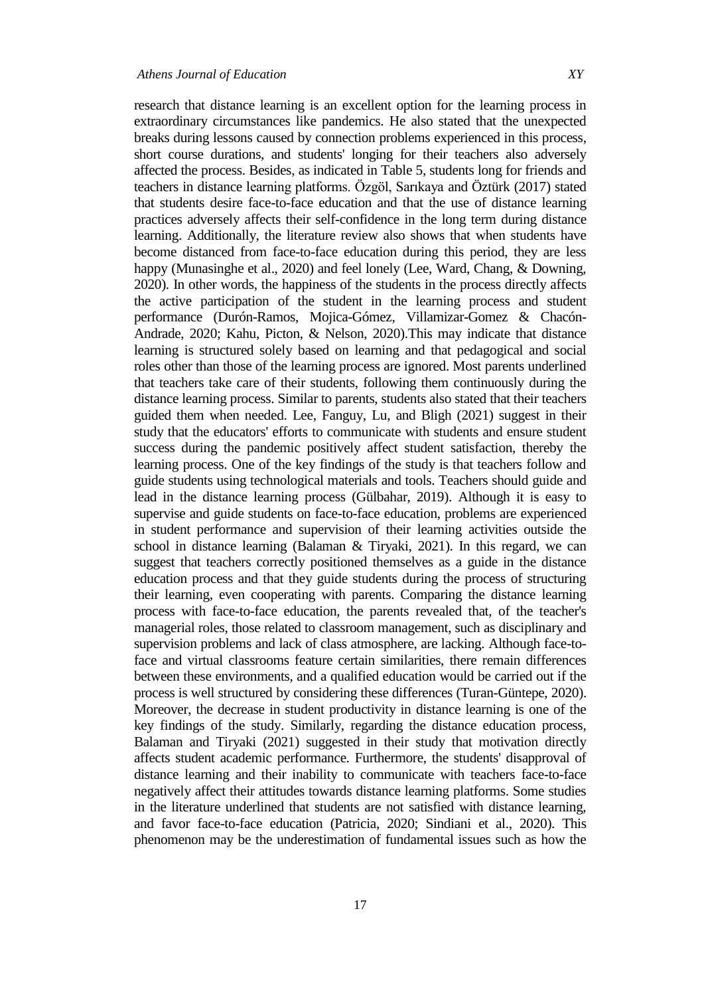research that distance learning is an excellent option for the learning process in extraordinary circumstances like pandemics. He also stated that the unexpected breaks during lessons caused by connection problems experienced in this process, short course durations, and students' longing for their teachers also adversely affected the process. Besides, as indicated in Table 5, students long for friends and teachers in distance learning platforms. Özgöl, Sarıkaya and Öztürk (2017) stated that students desire face-to-face education and that the use of distance learning practices adversely affects their self-confidence in the long term during distance learning. Additionally, the literature review also shows that when students have become distanced from face-to-face education during this period, they are less happy (Munasinghe et al., 2020) and feel lonely (Lee, Ward, Chang, & Downing, 2020). In other words, the happiness of the students in the process directly affects the active participation of the student in the learning process and student performance (Durón-Ramos, Mojica-Gómez, Villamizar-Gomez & Chacón-Andrade, 2020; Kahu, Picton, & Nelson, 2020).This may indicate that distance learning is structured solely based on learning and that pedagogical and social roles other than those of the learning process are ignored. Most parents underlined that teachers take care of their students, following them continuously during the distance learning process. Similar to parents, students also stated that their teachers guided them when needed. Lee, Fanguy, Lu, and Bligh (2021) suggest in their study that the educators' efforts to communicate with students and ensure student success during the pandemic positively affect student satisfaction, thereby the learning process. One of the key findings of the study is that teachers follow and guide students using technological materials and tools. Teachers should guide and lead in the distance learning process (Gülbahar, 2019). Although it is easy to supervise and guide students on face-to-face education, problems are experienced in student performance and supervision of their learning activities outside the school in distance learning (Balaman & Tiryaki, 2021). In this regard, we can suggest that teachers correctly positioned themselves as a guide in the distance education process and that they guide students during the process of structuring their learning, even cooperating with parents. Comparing the distance learning process with face-to-face education, the parents revealed that, of the teacher's managerial roles, those related to classroom management, such as disciplinary and supervision problems and lack of class atmosphere, are lacking. Although face-toface and virtual classrooms feature certain similarities, there remain differences between these environments, and a qualified education would be carried out if the process is well structured by considering these differences (Turan-Güntepe, 2020). Moreover, the decrease in student productivity in distance learning is one of the key findings of the study. Similarly, regarding the distance education process, Balaman and Tiryaki (2021) suggested in their study that motivation directly affects student academic performance. Furthermore, the students' disapproval of distance learning and their inability to communicate with teachers face-to-face negatively affect their attitudes towards distance learning platforms. Some studies in the literature underlined that students are not satisfied with distance learning, and favor face-to-face education (Patricia, 2020; Sindiani et al., 2020). This phenomenon may be the underestimation of fundamental issues such as how the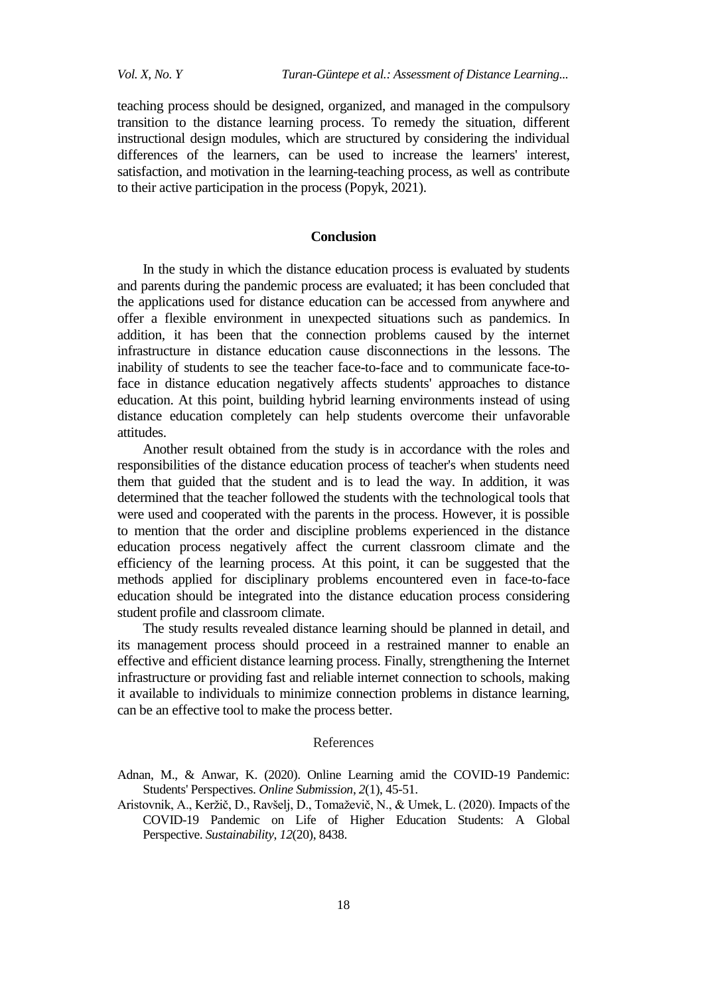teaching process should be designed, organized, and managed in the compulsory transition to the distance learning process. To remedy the situation, different instructional design modules, which are structured by considering the individual differences of the learners, can be used to increase the learners' interest, satisfaction, and motivation in the learning-teaching process, as well as contribute to their active participation in the process (Popyk, 2021).

### **Conclusion**

In the study in which the distance education process is evaluated by students and parents during the pandemic process are evaluated; it has been concluded that the applications used for distance education can be accessed from anywhere and offer a flexible environment in unexpected situations such as pandemics. In addition, it has been that the connection problems caused by the internet infrastructure in distance education cause disconnections in the lessons. The inability of students to see the teacher face-to-face and to communicate face-toface in distance education negatively affects students' approaches to distance education. At this point, building hybrid learning environments instead of using distance education completely can help students overcome their unfavorable attitudes.

Another result obtained from the study is in accordance with the roles and responsibilities of the distance education process of teacher's when students need them that guided that the student and is to lead the way. In addition, it was determined that the teacher followed the students with the technological tools that were used and cooperated with the parents in the process. However, it is possible to mention that the order and discipline problems experienced in the distance education process negatively affect the current classroom climate and the efficiency of the learning process. At this point, it can be suggested that the methods applied for disciplinary problems encountered even in face-to-face education should be integrated into the distance education process considering student profile and classroom climate.

The study results revealed distance learning should be planned in detail, and its management process should proceed in a restrained manner to enable an effective and efficient distance learning process. Finally, strengthening the Internet infrastructure or providing fast and reliable internet connection to schools, making it available to individuals to minimize connection problems in distance learning, can be an effective tool to make the process better.

#### References

Adnan, M., & Anwar, K. (2020). Online Learning amid the COVID-19 Pandemic: Students' Perspectives. *Online Submission*, *2*(1), 45-51.

Aristovnik, A., Keržič, D., Ravšelj, D., Tomaževič, N., & Umek, L. (2020). Impacts of the COVID-19 Pandemic on Life of Higher Education Students: A Global Perspective. *Sustainability*, *12*(20), 8438.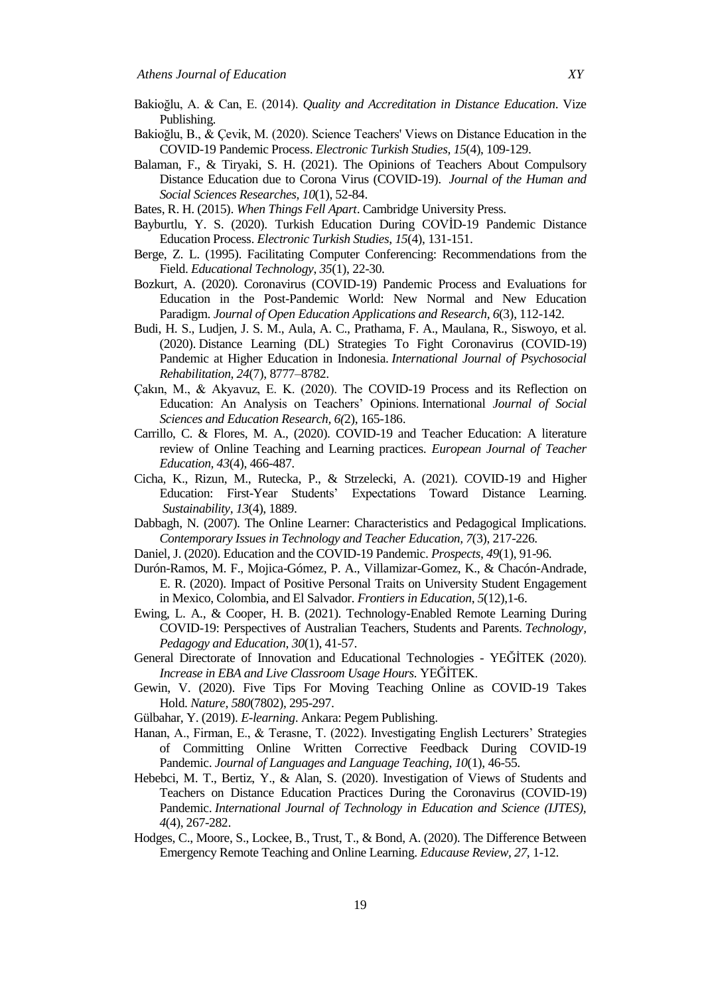- Bakioğlu, A. & Can, E. (2014). *Quality and Accreditation in Distance Education*. Vize Publishing.
- Bakioğlu, B., & Çevik, M. (2020). Science Teachers' Views on Distance Education in the COVID-19 Pandemic Process. *Electronic Turkish Studies, 15*(4), 109-129.
- Balaman, F., & Tiryaki, S. H. (2021). The Opinions of Teachers About Compulsory Distance Education due to Corona Virus (COVID-19). *Journal of the Human and Social Sciences Researches, 10*(1), 52-84.
- Bates, R. H. (2015). *When Things Fell Apart*. Cambridge University Press.
- Bayburtlu, Y. S. (2020). Turkish Education During COVID-19 Pandemic Distance Education Process. *Electronic Turkish Studies*, *15*(4), 131-151.
- Berge, Z. L. (1995). Facilitating Computer Conferencing: Recommendations from the Field. *Educational Technology*, *35*(1), 22-30.
- Bozkurt, A. (2020). Coronavirus (COVID-19) Pandemic Process and Evaluations for Education in the Post-Pandemic World: New Normal and New Education Paradigm. *Journal of Open Education Applications and Research*, *6*(3), 112-142.
- Budi, H. S., Ludjen, J. S. M., Aula, A. C., Prathama, F. A., Maulana, R., Siswoyo, et al. (2020). Distance Learning (DL) Strategies To Fight Coronavirus (COVID-19) Pandemic at Higher Education in Indonesia. *International Journal of Psychosocial Rehabilitation, 24*(7), 8777–8782.
- Çakın, M., & Akyavuz, E. K. (2020). The COVID-19 Process and its Reflection on Education: An Analysis on Teachers' Opinions. International *Journal of Social Sciences and Education Research, 6(*2), 165-186.
- Carrillo, C. & Flores, M. A., (2020). COVID-19 and Teacher Education: A literature review of Online Teaching and Learning practices. *European Journal of Teacher Education, 43*(4), 466-487.
- Cicha, K., Rizun, M., Rutecka, P., & Strzelecki, A. (2021). COVID-19 and Higher Education: First-Year Students' Expectations Toward Distance Learning. *Sustainability, 13*(4), 1889.
- Dabbagh, N. (2007). The Online Learner: Characteristics and Pedagogical Implications. *Contemporary Issues in Technology and Teacher Education, 7*(3), 217-226.
- Daniel, J. (2020). Education and the COVID-19 Pandemic. *Prospects, 49*(1), 91-96.
- Durón-Ramos, M. F., Mojica-Gómez, P. A., Villamizar-Gomez, K., & Chacón-Andrade, E. R. (2020). Impact of Positive Personal Traits on University Student Engagement in Mexico, Colombia, and El Salvador. *Frontiers in Education*, *5*(12),1-6.
- Ewing, L. A., & Cooper, H. B. (2021). Technology-Enabled Remote Learning During COVID-19: Perspectives of Australian Teachers, Students and Parents. *Technology, Pedagogy and Education*, *30*(1), 41-57.
- General Directorate of Innovation and Educational Technologies YEĞİTEK (2020). *Increase in EBA and Live Classroom Usage Hours.* YEĞİTEK.
- Gewin, V. (2020). Five Tips For Moving Teaching Online as COVID-19 Takes Hold. *Nature, 580*(7802), 295-297.
- Gülbahar, Y. (2019). *E-learning*. Ankara: Pegem Publishing.
- Hanan, A., Firman, E., & Terasne, T. (2022). Investigating English Lecturers' Strategies of Committing Online Written Corrective Feedback During COVID-19 Pandemic. *Journal of Languages and Language Teaching, 10*(1), 46-55.
- Hebebci, M. T., Bertiz, Y., & Alan, S. (2020). Investigation of Views of Students and Teachers on Distance Education Practices During the Coronavirus (COVID-19) Pandemic. *International Journal of Technology in Education and Science (IJTES), 4*(4), 267-282.
- Hodges, C., Moore, S., Lockee, B., Trust, T., & Bond, A. (2020). The Difference Between Emergency Remote Teaching and Online Learning. *Educause Review, 27*, 1-12.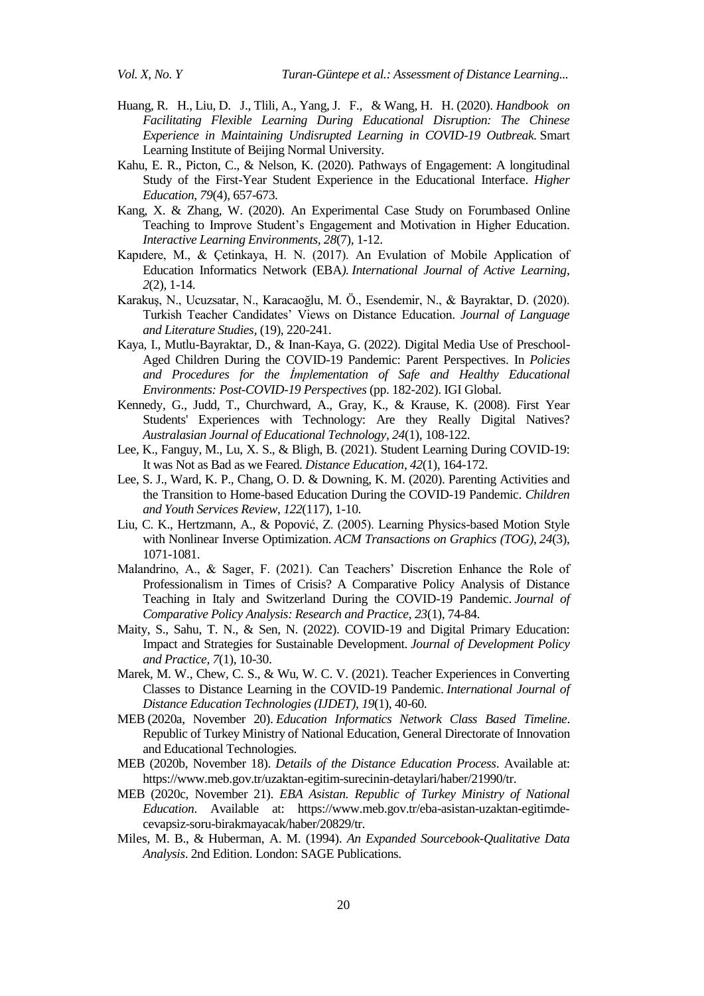- Huang, R. H., Liu, D. J., Tlili, A., Yang, J. F., & Wang, H. H. (2020). *Handbook on Facilitating Flexible Learning During Educational Disruption: The Chinese Experience in Maintaining Undisrupted Learning in COVID-19 Outbreak.* Smart Learning Institute of Beijing Normal University.
- Kahu, E. R., Picton, C., & Nelson, K. (2020). Pathways of Engagement: A longitudinal Study of the First-Year Student Experience in the Educational Interface. *Higher Education, 79*(4), 657-673.
- Kang, X. & Zhang, W. (2020). An Experimental Case Study on Forumbased Online Teaching to Improve Student's Engagement and Motivation in Higher Education. *Interactive Learning Environments, 28*(7), 1-12.
- Kapıdere, M., & Çetinkaya, H. N. (2017). An Evulation of Mobile Application of Education Informatics Network (EBA*). International Journal of Active Learning, 2*(2), 1-14.
- KarakuĢ, N., Ucuzsatar, N., Karacaoğlu, M. Ö., Esendemir, N., & Bayraktar, D. (2020). Turkish Teacher Candidates' Views on Distance Education. *Journal of Language and Literature Studies,* (19), 220-241.
- Kaya, I., Mutlu-Bayraktar, D., & Inan-Kaya, G. (2022). Digital Media Use of Preschool-Aged Children During the COVID-19 Pandemic: Parent Perspectives. In *Policies and Procedures for the İmplementation of Safe and Healthy Educational Environments: Post-COVID-19 Perspectives* (pp. 182-202). IGI Global.
- Kennedy, G., Judd, T., Churchward, A., Gray, K., & Krause, K. (2008). First Year Students' Experiences with Technology: Are they Really Digital Natives? *Australasian Journal of Educational Technology, 24*(1), 108-122.
- Lee, K., Fanguy, M., Lu, X. S., & Bligh, B. (2021). Student Learning During COVID-19: It was Not as Bad as we Feared. *Distance Education*, *42*(1), 164-172.
- Lee, S. J., Ward, K. P., Chang, O. D. & Downing, K. M. (2020). Parenting Activities and the Transition to Home-based Education During the COVID-19 Pandemic. *Children and Youth Services Review*, *122*(117), 1-10.
- Liu, C. K., Hertzmann, A., & Popović, Z. (2005). Learning Physics-based Motion Style with Nonlinear Inverse Optimization. *ACM Transactions on Graphics (TOG)*, *24*(3), 1071-1081.
- Malandrino, A., & Sager, F. (2021). Can Teachers' Discretion Enhance the Role of Professionalism in Times of Crisis? A Comparative Policy Analysis of Distance Teaching in Italy and Switzerland During the COVID-19 Pandemic. *Journal of Comparative Policy Analysis: Research and Practice*, *23*(1), 74-84.
- Maity, S., Sahu, T. N., & Sen, N. (2022). COVID-19 and Digital Primary Education: Impact and Strategies for Sustainable Development. *Journal of Development Policy and Practice, 7*(1), 10-30.
- Marek, M. W., Chew, C. S., & Wu, W. C. V. (2021). Teacher Experiences in Converting Classes to Distance Learning in the COVID-19 Pandemic. *International Journal of Distance Education Technologies (IJDET)*, *19*(1), 40-60.
- MEB (2020a, November 20). *Education Informatics Network Class Based Timeline*. Republic of Turkey Ministry of National Education, General Directorate of Innovation and Educational Technologies.
- MEB (2020b, November 18). *Details of the Distance Education Process*. Available at: [https://www.meb.gov.tr/uzaktan-egitim-surecinin-detaylari/haber/21990/tr.](https://www.meb.gov.tr/uzaktan-egitim-surecinin-detaylari/haber/21990/tr)
- MEB (2020c, November 21). *EBA Asistan. Republic of Turkey Ministry of National Education*. Available at: https://www.meb.gov.tr/eba-asistan-uzaktan-egitimdecevapsiz-soru-birakmayacak/haber/20829/tr.
- Miles, M. B., & Huberman, A. M. (1994). *An Expanded Sourcebook-Qualitative Data Analysis*. 2nd Edition. London: SAGE Publications.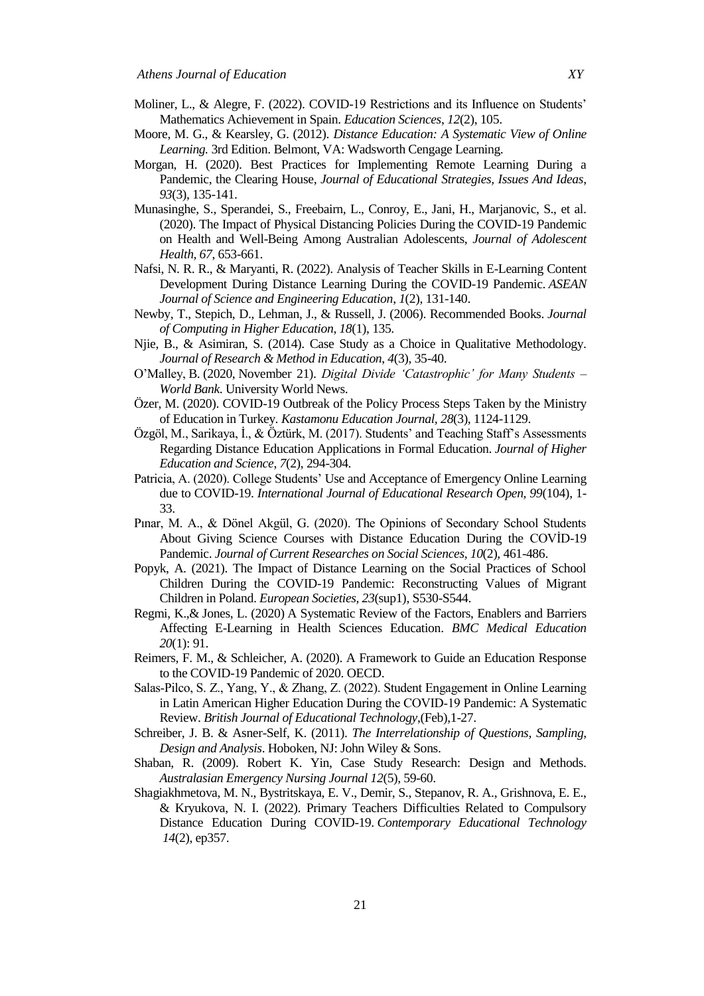- Moliner, L., & Alegre, F. (2022). COVID-19 Restrictions and its Influence on Students' Mathematics Achievement in Spain. *Education Sciences*, *12*(2), 105.
- Moore, M. G., & Kearsley, G. (2012). *Distance Education: A Systematic View of Online Learning.* 3rd Edition. Belmont, VA: Wadsworth Cengage Learning.
- Morgan, H. (2020). Best Practices for Implementing Remote Learning During a Pandemic, the Clearing House, *Journal of Educational Strategies, Issues And Ideas*, *93*(3), 135-141.
- Munasinghe, S., Sperandei, S., Freebairn, L., Conroy, E., Jani, H., Marjanovic, S., et al. (2020). The Impact of Physical Distancing Policies During the COVID-19 Pandemic on Health and Well-Being Among Australian Adolescents, *Journal of Adolescent Health, 67*, 653-661.
- Nafsi, N. R. R., & Maryanti, R. (2022). Analysis of Teacher Skills in E-Learning Content Development During Distance Learning During the COVID-19 Pandemic. *ASEAN Journal of Science and Engineering Education*, *1*(2), 131-140.
- Newby, T., Stepich, D., Lehman, J., & Russell, J. (2006). Recommended Books. *Journal of Computing in Higher Education*, *18*(1), 135.
- Njie, B., & Asimiran, S. (2014). Case Study as a Choice in Qualitative Methodology. *Journal of Research & Method in Education*, *4*(3), 35-40.
- O'Malley, B. (2020, November 21). *Digital Divide 'Catastrophic' for Many Students – World Bank*. University World News.
- Özer, M. (2020). COVID-19 Outbreak of the Policy Process Steps Taken by the Ministry of Education in Turkey. *Kastamonu Education Journal, 28*(3), 1124-1129.
- $\ddot{O}$ zgöl, M., Sarikaya, İ., & Öztürk, M. (2017). Students' and Teaching Staff's Assessments Regarding Distance Education Applications in Formal Education. *Journal of Higher Education and Science*, *7*(2), 294-304.
- Patricia, A. (2020). College Students' Use and Acceptance of Emergency Online Learning due to COVID-19. *International Journal of Educational Research Open, 99*(104), 1- 33.
- Pınar, M. A., & Dönel Akgül, G. (2020). The Opinions of Secondary School Students About Giving Science Courses with Distance Education During the COVID-19 Pandemic. *Journal of Current Researches on Social Sciences, 10*(2), 461-486.
- Popyk, A. (2021). The Impact of Distance Learning on the Social Practices of School Children During the COVID-19 Pandemic: Reconstructing Values of Migrant Children in Poland. *European Societies, 23*(sup1), S530-S544.
- Regmi, K.,& Jones, L. (2020) A Systematic Review of the Factors, Enablers and Barriers Affecting E-Learning in Health Sciences Education. *BMC Medical Education 20*(1): 91.
- Reimers, F. M., & Schleicher, A. (2020). A Framework to Guide an Education Response to the COVID-19 Pandemic of 2020. OECD.
- Salas-Pilco, S. Z., Yang, Y., & Zhang, Z. (2022). Student Engagement in Online Learning in Latin American Higher Education During the COVID‐19 Pandemic: A Systematic Review. *British Journal of Educational Technology*,(Feb),1-27.
- Schreiber, J. B. & Asner-Self, K. (2011). *The Interrelationship of Questions, Sampling, Design and Analysis*. Hoboken, NJ: John Wiley & Sons.
- Shaban, R. (2009). Robert K. Yin, Case Study Research: Design and Methods. *Australasian Emergency Nursing Journal 12*(5), 59-60.
- Shagiakhmetova, M. N., Bystritskaya, E. V., Demir, S., Stepanov, R. A., Grishnova, E. E., & Kryukova, N. I. (2022). Primary Teachers Difficulties Related to Compulsory Distance Education During COVID-19. *Contemporary Educational Technology 14*(2), ep357.